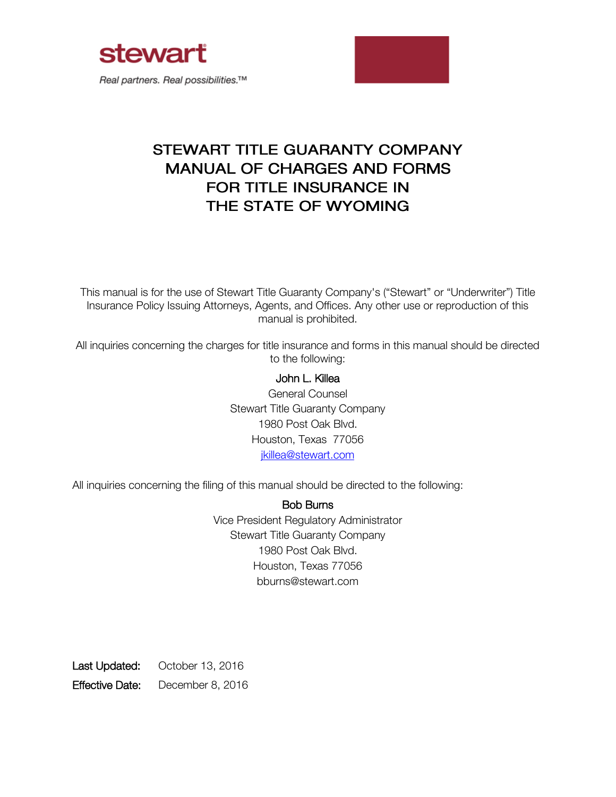



# STEWART TITLE GUARANTY COMPANY **MANUAL OF CHARGES AND FORMS FOR TITLE INSURANCE IN** THE STATE OF WYOMING

This manual is for the use of Stewart Title Guaranty Company's ("Stewart" or "Underwriter") Title Insurance Policy Issuing Attorneys, Agents, and Offices. Any other use or reproduction of this manual is prohibited.

All inquiries concerning the charges for title insurance and forms in this manual should be directed to the following:

## John L. Killea

General Counsel Stewart Title Guaranty Company 1980 Post Oak Blvd. Houston, Texas 77056 [jkillea@stewart.com](mailto:jkillea@stewart.com)

All inquiries concerning the filing of this manual should be directed to the following:

Bob Burns Vice President Regulatory Administrator Stewart Title Guaranty Company 1980 Post Oak Blvd. Houston, Texas 77056 bburns@stewart.com

Last Updated: October 13, 2016 Effective Date: December 8, 2016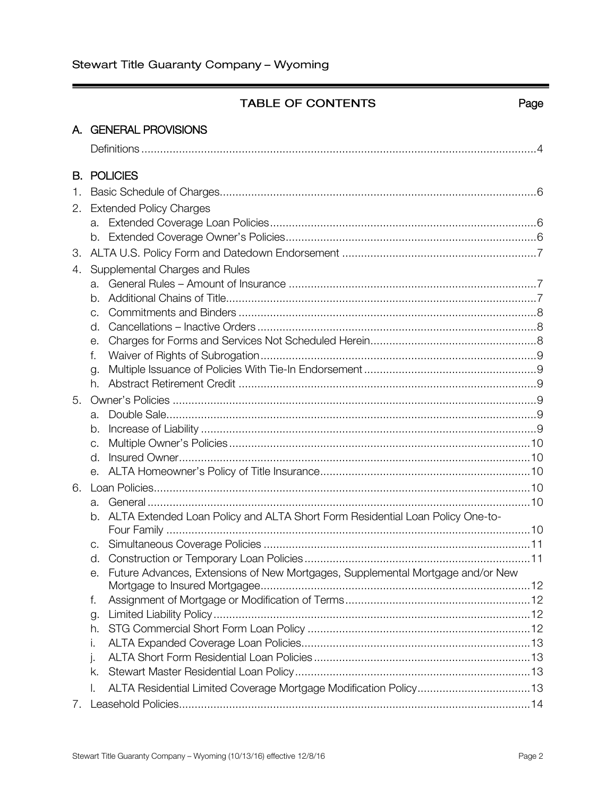# TABLE OF CONTENTS

## Page

| A. GENERAL PROVISIONS      |                |                                                                                |  |
|----------------------------|----------------|--------------------------------------------------------------------------------|--|
|                            |                |                                                                                |  |
|                            |                |                                                                                |  |
|                            |                | <b>B. POLICIES</b>                                                             |  |
| 1.                         |                |                                                                                |  |
| 2. Extended Policy Charges |                |                                                                                |  |
|                            |                |                                                                                |  |
|                            |                |                                                                                |  |
| 3.                         |                |                                                                                |  |
| 4.                         |                | Supplemental Charges and Rules                                                 |  |
|                            | а.             |                                                                                |  |
|                            | b.             |                                                                                |  |
|                            | C.             |                                                                                |  |
|                            | $\mathsf{d}$ . |                                                                                |  |
|                            | е.             |                                                                                |  |
|                            | f.             |                                                                                |  |
|                            | g.             |                                                                                |  |
|                            | h.             |                                                                                |  |
| 5.                         |                |                                                                                |  |
|                            | а.             |                                                                                |  |
|                            | b.             |                                                                                |  |
|                            | C.             |                                                                                |  |
|                            | d.             |                                                                                |  |
|                            | е.             |                                                                                |  |
| 6.                         |                |                                                                                |  |
|                            | а.             |                                                                                |  |
|                            | b.             | ALTA Extended Loan Policy and ALTA Short Form Residential Loan Policy One-to-  |  |
|                            |                |                                                                                |  |
|                            | C.             |                                                                                |  |
|                            | d.             |                                                                                |  |
|                            |                | Future Advances, Extensions of New Mortgages, Supplemental Mortgage and/or New |  |
|                            |                |                                                                                |  |
|                            | f.             |                                                                                |  |
|                            | g.<br>h.       |                                                                                |  |
|                            | i.             |                                                                                |  |
|                            | j.             |                                                                                |  |
|                            | k.             |                                                                                |  |
|                            | Ι.             | ALTA Residential Limited Coverage Mortgage Modification Policy13               |  |
|                            |                |                                                                                |  |
| 7.                         |                |                                                                                |  |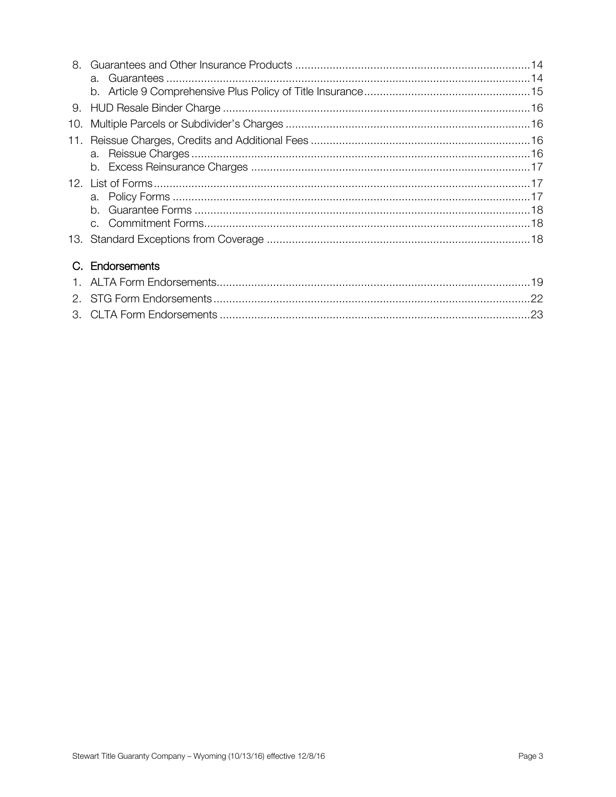# C. Endorsements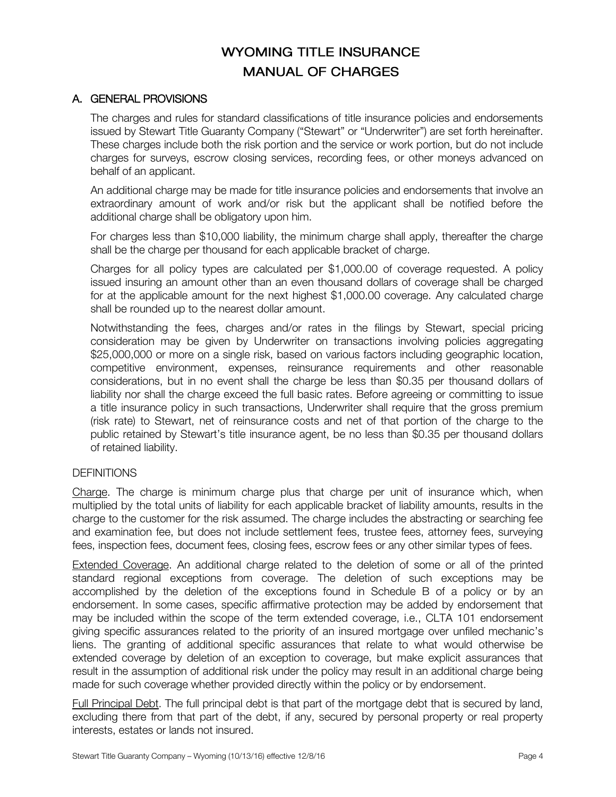# **WYOMING TITLE INSURANCE MANUAL OF CHARGES**

#### A. GENERAL PROVISIONS

The charges and rules for standard classifications of title insurance policies and endorsements issued by Stewart Title Guaranty Company ("Stewart" or "Underwriter") are set forth hereinafter. These charges include both the risk portion and the service or work portion, but do not include charges for surveys, escrow closing services, recording fees, or other moneys advanced on behalf of an applicant.

An additional charge may be made for title insurance policies and endorsements that involve an extraordinary amount of work and/or risk but the applicant shall be notified before the additional charge shall be obligatory upon him.

For charges less than \$10,000 liability, the minimum charge shall apply, thereafter the charge shall be the charge per thousand for each applicable bracket of charge.

Charges for all policy types are calculated per \$1,000.00 of coverage requested. A policy issued insuring an amount other than an even thousand dollars of coverage shall be charged for at the applicable amount for the next highest \$1,000.00 coverage. Any calculated charge shall be rounded up to the nearest dollar amount.

Notwithstanding the fees, charges and/or rates in the filings by Stewart, special pricing consideration may be given by Underwriter on transactions involving policies aggregating \$25,000,000 or more on a single risk, based on various factors including geographic location, competitive environment, expenses, reinsurance requirements and other reasonable considerations, but in no event shall the charge be less than \$0.35 per thousand dollars of liability nor shall the charge exceed the full basic rates. Before agreeing or committing to issue a title insurance policy in such transactions, Underwriter shall require that the gross premium (risk rate) to Stewart, net of reinsurance costs and net of that portion of the charge to the public retained by Stewart's title insurance agent, be no less than \$0.35 per thousand dollars of retained liability.

#### **DEFINITIONS**

Charge. The charge is minimum charge plus that charge per unit of insurance which, when multiplied by the total units of liability for each applicable bracket of liability amounts, results in the charge to the customer for the risk assumed. The charge includes the abstracting or searching fee and examination fee, but does not include settlement fees, trustee fees, attorney fees, surveying fees, inspection fees, document fees, closing fees, escrow fees or any other similar types of fees.

Extended Coverage. An additional charge related to the deletion of some or all of the printed standard regional exceptions from coverage. The deletion of such exceptions may be accomplished by the deletion of the exceptions found in Schedule B of a policy or by an endorsement. In some cases, specific affirmative protection may be added by endorsement that may be included within the scope of the term extended coverage, i.e., CLTA 101 endorsement giving specific assurances related to the priority of an insured mortgage over unfiled mechanic's liens. The granting of additional specific assurances that relate to what would otherwise be extended coverage by deletion of an exception to coverage, but make explicit assurances that result in the assumption of additional risk under the policy may result in an additional charge being made for such coverage whether provided directly within the policy or by endorsement.

Full Principal Debt. The full principal debt is that part of the mortgage debt that is secured by land, excluding there from that part of the debt, if any, secured by personal property or real property interests, estates or lands not insured.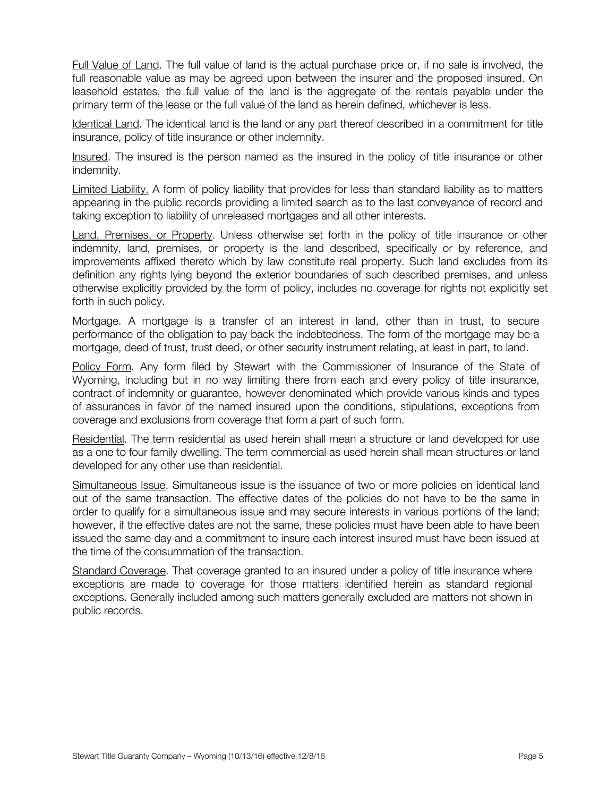Full Value of Land. The full value of land is the actual purchase price or, if no sale is involved, the full reasonable value as may be agreed upon between the insurer and the proposed insured. On leasehold estates, the full value of the land is the aggregate of the rentals payable under the primary term of the lease or the full value of the land as herein defined, whichever is less.

Identical Land. The identical land is the land or any part thereof described in a commitment for title insurance, policy of title insurance or other indemnity.

Insured. The insured is the person named as the insured in the policy of title insurance or other indemnity.

Limited Liability. A form of policy liability that provides for less than standard liability as to matters appearing in the public records providing a limited search as to the last conveyance of record and taking exception to liability of unreleased mortgages and all other interests.

Land, Premises, or Property. Unless otherwise set forth in the policy of title insurance or other indemnity, land, premises, or property is the land described, specifically or by reference, and improvements affixed thereto which by law constitute real property. Such land excludes from its definition any rights lying beyond the exterior boundaries of such described premises, and unless otherwise explicitly provided by the form of policy, includes no coverage for rights not explicitly set forth in such policy.

Mortgage. A mortgage is a transfer of an interest in land, other than in trust, to secure performance of the obligation to pay back the indebtedness. The form of the mortgage may be a mortgage, deed of trust, trust deed, or other security instrument relating, at least in part, to land.

Policy Form. Any form filed by Stewart with the Commissioner of Insurance of the State of Wyoming, including but in no way limiting there from each and every policy of title insurance, contract of indemnity or guarantee, however denominated which provide various kinds and types of assurances in favor of the named insured upon the conditions, stipulations, exceptions from coverage and exclusions from coverage that form a part of such form.

Residential. The term residential as used herein shall mean a structure or land developed for use as a one to four family dwelling. The term commercial as used herein shall mean structures or land developed for any other use than residential.

Simultaneous Issue. Simultaneous issue is the issuance of two or more policies on identical land out of the same transaction. The effective dates of the policies do not have to be the same in order to qualify for a simultaneous issue and may secure interests in various portions of the land; however, if the effective dates are not the same, these policies must have been able to have been issued the same day and a commitment to insure each interest insured must have been issued at the time of the consummation of the transaction.

Standard Coverage. That coverage granted to an insured under a policy of title insurance where exceptions are made to coverage for those matters identified herein as standard regional exceptions. Generally included among such matters generally excluded are matters not shown in public records.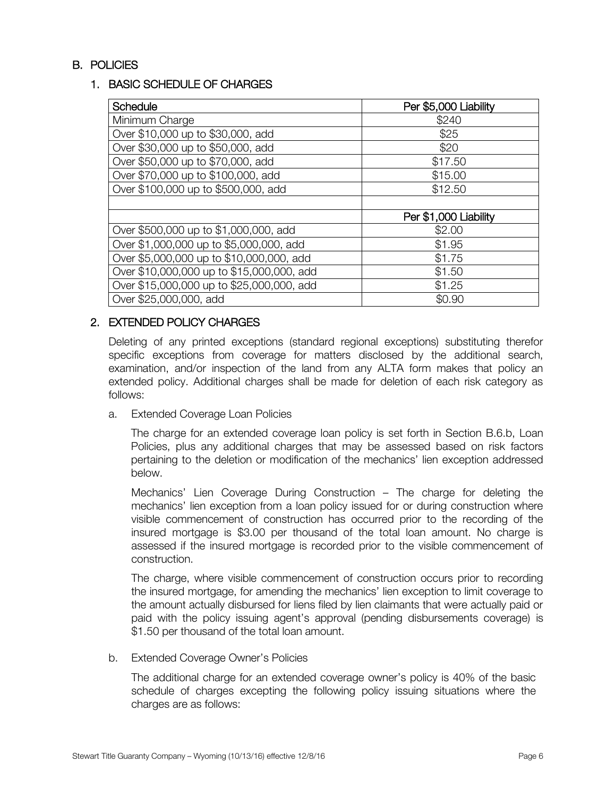## B. POLICIES

#### 1. BASIC SCHEDULE OF CHARGES

| <b>Schedule</b>                           | Per \$5,000 Liability |
|-------------------------------------------|-----------------------|
| Minimum Charge                            | \$240                 |
| Over \$10,000 up to \$30,000, add         | \$25                  |
| Over \$30,000 up to \$50,000, add         | \$20                  |
| Over \$50,000 up to \$70,000, add         | \$17.50               |
| Over \$70,000 up to \$100,000, add        | \$15.00               |
| Over \$100,000 up to \$500,000, add       | \$12.50               |
|                                           |                       |
|                                           | Per \$1,000 Liability |
| Over \$500,000 up to \$1,000,000, add     | \$2.00                |
| Over \$1,000,000 up to \$5,000,000, add   | \$1.95                |
| Over \$5,000,000 up to \$10,000,000, add  | \$1.75                |
| Over \$10,000,000 up to \$15,000,000, add | \$1.50                |
| Over \$15,000,000 up to \$25,000,000, add | \$1.25                |
| Over \$25,000,000, add                    | \$0.90                |

## 2. EXTENDED POLICY CHARGES

Deleting of any printed exceptions (standard regional exceptions) substituting therefor specific exceptions from coverage for matters disclosed by the additional search, examination, and/or inspection of the land from any ALTA form makes that policy an extended policy. Additional charges shall be made for deletion of each risk category as follows:

a. Extended Coverage Loan Policies

The charge for an extended coverage loan policy is set forth in Section B.6.b, Loan Policies, plus any additional charges that may be assessed based on risk factors pertaining to the deletion or modification of the mechanics' lien exception addressed below.

Mechanics' Lien Coverage During Construction – The charge for deleting the mechanics' lien exception from a loan policy issued for or during construction where visible commencement of construction has occurred prior to the recording of the insured mortgage is \$3.00 per thousand of the total loan amount. No charge is assessed if the insured mortgage is recorded prior to the visible commencement of construction.

The charge, where visible commencement of construction occurs prior to recording the insured mortgage, for amending the mechanics' lien exception to limit coverage to the amount actually disbursed for liens filed by lien claimants that were actually paid or paid with the policy issuing agent's approval (pending disbursements coverage) is \$1.50 per thousand of the total loan amount.

b. Extended Coverage Owner's Policies

The additional charge for an extended coverage owner's policy is 40% of the basic schedule of charges excepting the following policy issuing situations where the charges are as follows: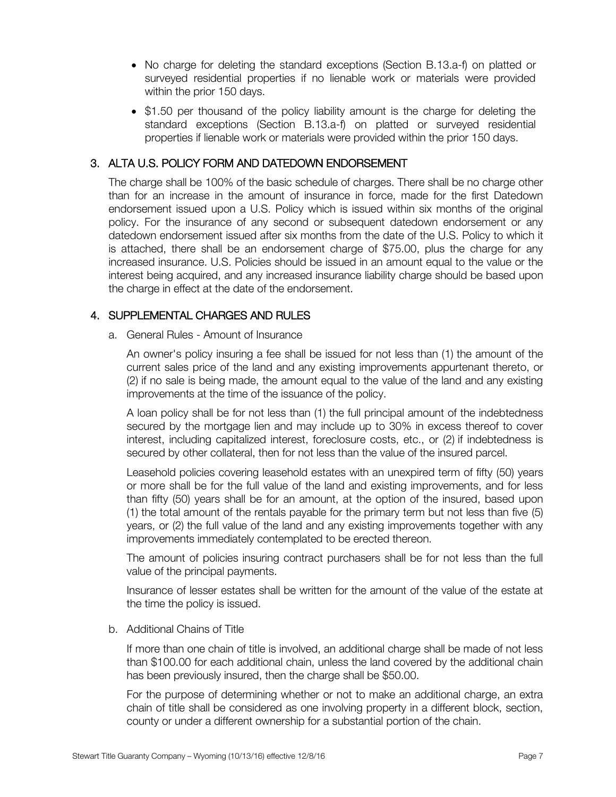- No charge for deleting the standard exceptions (Section B.13.a-f) on platted or surveyed residential properties if no lienable work or materials were provided within the prior 150 days.
- \$1.50 per thousand of the policy liability amount is the charge for deleting the standard exceptions (Section B.13.a-f) on platted or surveyed residential properties if lienable work or materials were provided within the prior 150 days.

## 3. ALTA U.S. POLICY FORM AND DATEDOWN ENDORSEMENT

The charge shall be 100% of the basic schedule of charges. There shall be no charge other than for an increase in the amount of insurance in force, made for the first Datedown endorsement issued upon a U.S. Policy which is issued within six months of the original policy. For the insurance of any second or subsequent datedown endorsement or any datedown endorsement issued after six months from the date of the U.S. Policy to which it is attached, there shall be an endorsement charge of \$75.00, plus the charge for any increased insurance. U.S. Policies should be issued in an amount equal to the value or the interest being acquired, and any increased insurance liability charge should be based upon the charge in effect at the date of the endorsement.

## 4. SUPPLEMENTAL CHARGES AND RULES

a. General Rules - Amount of Insurance

An owner's policy insuring a fee shall be issued for not less than (1) the amount of the current sales price of the land and any existing improvements appurtenant thereto, or (2) if no sale is being made, the amount equal to the value of the land and any existing improvements at the time of the issuance of the policy.

A loan policy shall be for not less than (1) the full principal amount of the indebtedness secured by the mortgage lien and may include up to 30% in excess thereof to cover interest, including capitalized interest, foreclosure costs, etc., or (2) if indebtedness is secured by other collateral, then for not less than the value of the insured parcel.

Leasehold policies covering leasehold estates with an unexpired term of fifty (50) years or more shall be for the full value of the land and existing improvements, and for less than fifty (50) years shall be for an amount, at the option of the insured, based upon (1) the total amount of the rentals payable for the primary term but not less than five (5) years, or (2) the full value of the land and any existing improvements together with any improvements immediately contemplated to be erected thereon.

The amount of policies insuring contract purchasers shall be for not less than the full value of the principal payments.

Insurance of lesser estates shall be written for the amount of the value of the estate at the time the policy is issued.

#### b. Additional Chains of Title

If more than one chain of title is involved, an additional charge shall be made of not less than \$100.00 for each additional chain, unless the land covered by the additional chain has been previously insured, then the charge shall be \$50.00.

For the purpose of determining whether or not to make an additional charge, an extra chain of title shall be considered as one involving property in a different block, section, county or under a different ownership for a substantial portion of the chain.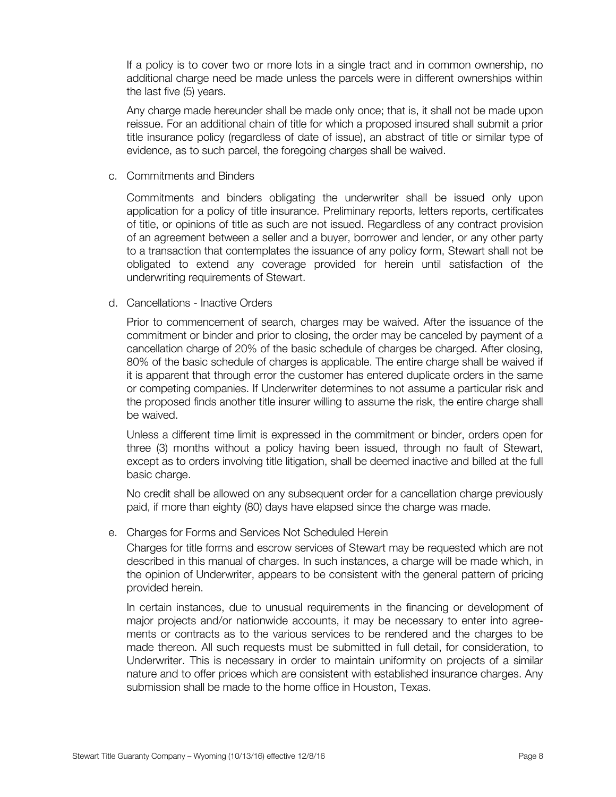If a policy is to cover two or more lots in a single tract and in common ownership, no additional charge need be made unless the parcels were in different ownerships within the last five (5) years.

Any charge made hereunder shall be made only once; that is, it shall not be made upon reissue. For an additional chain of title for which a proposed insured shall submit a prior title insurance policy (regardless of date of issue), an abstract of title or similar type of evidence, as to such parcel, the foregoing charges shall be waived.

c. Commitments and Binders

Commitments and binders obligating the underwriter shall be issued only upon application for a policy of title insurance. Preliminary reports, letters reports, certificates of title, or opinions of title as such are not issued. Regardless of any contract provision of an agreement between a seller and a buyer, borrower and lender, or any other party to a transaction that contemplates the issuance of any policy form, Stewart shall not be obligated to extend any coverage provided for herein until satisfaction of the underwriting requirements of Stewart.

d. Cancellations - Inactive Orders

Prior to commencement of search, charges may be waived. After the issuance of the commitment or binder and prior to closing, the order may be canceled by payment of a cancellation charge of 20% of the basic schedule of charges be charged. After closing, 80% of the basic schedule of charges is applicable. The entire charge shall be waived if it is apparent that through error the customer has entered duplicate orders in the same or competing companies. If Underwriter determines to not assume a particular risk and the proposed finds another title insurer willing to assume the risk, the entire charge shall be waived.

Unless a different time limit is expressed in the commitment or binder, orders open for three (3) months without a policy having been issued, through no fault of Stewart, except as to orders involving title litigation, shall be deemed inactive and billed at the full basic charge.

No credit shall be allowed on any subsequent order for a cancellation charge previously paid, if more than eighty (80) days have elapsed since the charge was made.

e. Charges for Forms and Services Not Scheduled Herein

Charges for title forms and escrow services of Stewart may be requested which are not described in this manual of charges. In such instances, a charge will be made which, in the opinion of Underwriter, appears to be consistent with the general pattern of pricing provided herein.

In certain instances, due to unusual requirements in the financing or development of major projects and/or nationwide accounts, it may be necessary to enter into agreements or contracts as to the various services to be rendered and the charges to be made thereon. All such requests must be submitted in full detail, for consideration, to Underwriter. This is necessary in order to maintain uniformity on projects of a similar nature and to offer prices which are consistent with established insurance charges. Any submission shall be made to the home office in Houston, Texas.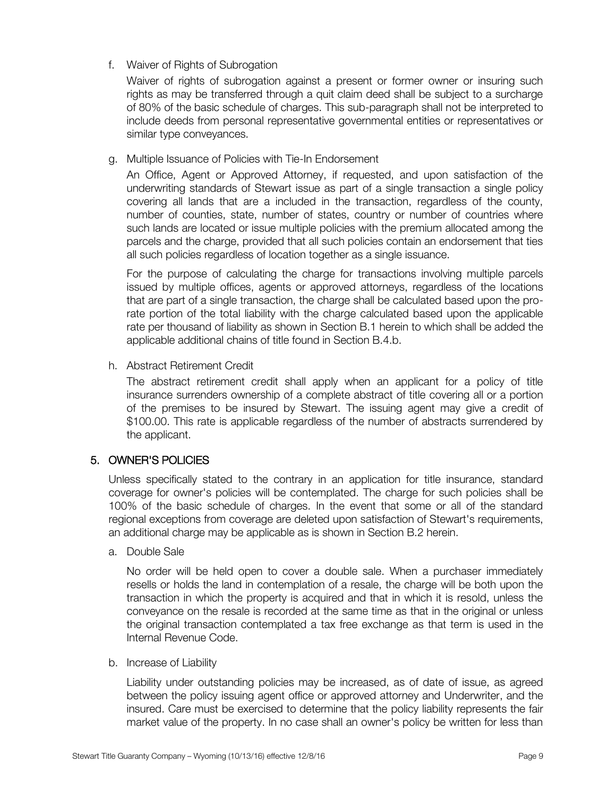f. Waiver of Rights of Subrogation

Waiver of rights of subrogation against a present or former owner or insuring such rights as may be transferred through a quit claim deed shall be subject to a surcharge of 80% of the basic schedule of charges. This sub-paragraph shall not be interpreted to include deeds from personal representative governmental entities or representatives or similar type conveyances.

#### g. Multiple Issuance of Policies with Tie-In Endorsement

An Office, Agent or Approved Attorney, if requested, and upon satisfaction of the underwriting standards of Stewart issue as part of a single transaction a single policy covering all lands that are a included in the transaction, regardless of the county, number of counties, state, number of states, country or number of countries where such lands are located or issue multiple policies with the premium allocated among the parcels and the charge, provided that all such policies contain an endorsement that ties all such policies regardless of location together as a single issuance.

For the purpose of calculating the charge for transactions involving multiple parcels issued by multiple offices, agents or approved attorneys, regardless of the locations that are part of a single transaction, the charge shall be calculated based upon the prorate portion of the total liability with the charge calculated based upon the applicable rate per thousand of liability as shown in Section B.1 herein to which shall be added the applicable additional chains of title found in Section B.4.b.

h. Abstract Retirement Credit

The abstract retirement credit shall apply when an applicant for a policy of title insurance surrenders ownership of a complete abstract of title covering all or a portion of the premises to be insured by Stewart. The issuing agent may give a credit of \$100.00. This rate is applicable regardless of the number of abstracts surrendered by the applicant.

#### 5. OWNER'S POLICIES

Unless specifically stated to the contrary in an application for title insurance, standard coverage for owner's policies will be contemplated. The charge for such policies shall be 100% of the basic schedule of charges. In the event that some or all of the standard regional exceptions from coverage are deleted upon satisfaction of Stewart's requirements, an additional charge may be applicable as is shown in Section B.2 herein.

a. Double Sale

No order will be held open to cover a double sale. When a purchaser immediately resells or holds the land in contemplation of a resale, the charge will be both upon the transaction in which the property is acquired and that in which it is resold, unless the conveyance on the resale is recorded at the same time as that in the original or unless the original transaction contemplated a tax free exchange as that term is used in the Internal Revenue Code.

b. Increase of Liability

Liability under outstanding policies may be increased, as of date of issue, as agreed between the policy issuing agent office or approved attorney and Underwriter, and the insured. Care must be exercised to determine that the policy liability represents the fair market value of the property. In no case shall an owner's policy be written for less than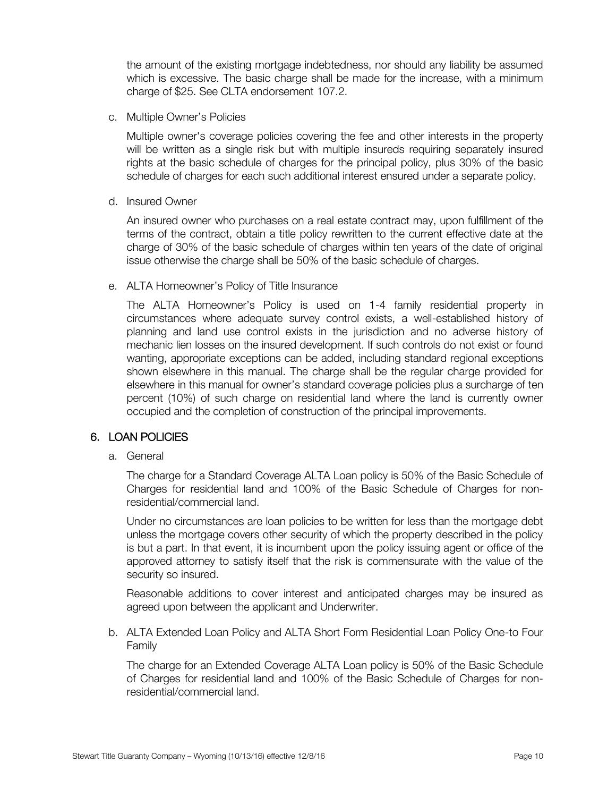the amount of the existing mortgage indebtedness, nor should any liability be assumed which is excessive. The basic charge shall be made for the increase, with a minimum charge of \$25. See CLTA endorsement 107.2.

c. Multiple Owner's Policies

Multiple owner's coverage policies covering the fee and other interests in the property will be written as a single risk but with multiple insureds requiring separately insured rights at the basic schedule of charges for the principal policy, plus 30% of the basic schedule of charges for each such additional interest ensured under a separate policy.

d. Insured Owner

An insured owner who purchases on a real estate contract may, upon fulfillment of the terms of the contract, obtain a title policy rewritten to the current effective date at the charge of 30% of the basic schedule of charges within ten years of the date of original issue otherwise the charge shall be 50% of the basic schedule of charges.

e. ALTA Homeowner's Policy of Title Insurance

The ALTA Homeowner's Policy is used on 1-4 family residential property in circumstances where adequate survey control exists, a well-established history of planning and land use control exists in the jurisdiction and no adverse history of mechanic lien losses on the insured development. If such controls do not exist or found wanting, appropriate exceptions can be added, including standard regional exceptions shown elsewhere in this manual. The charge shall be the regular charge provided for elsewhere in this manual for owner's standard coverage policies plus a surcharge of ten percent (10%) of such charge on residential land where the land is currently owner occupied and the completion of construction of the principal improvements.

#### 6. LOAN POLICIES

a. General

The charge for a Standard Coverage ALTA Loan policy is 50% of the Basic Schedule of Charges for residential land and 100% of the Basic Schedule of Charges for nonresidential/commercial land.

Under no circumstances are loan policies to be written for less than the mortgage debt unless the mortgage covers other security of which the property described in the policy is but a part. In that event, it is incumbent upon the policy issuing agent or office of the approved attorney to satisfy itself that the risk is commensurate with the value of the security so insured.

Reasonable additions to cover interest and anticipated charges may be insured as agreed upon between the applicant and Underwriter.

b. ALTA Extended Loan Policy and ALTA Short Form Residential Loan Policy One-to Four Family

The charge for an Extended Coverage ALTA Loan policy is 50% of the Basic Schedule of Charges for residential land and 100% of the Basic Schedule of Charges for nonresidential/commercial land.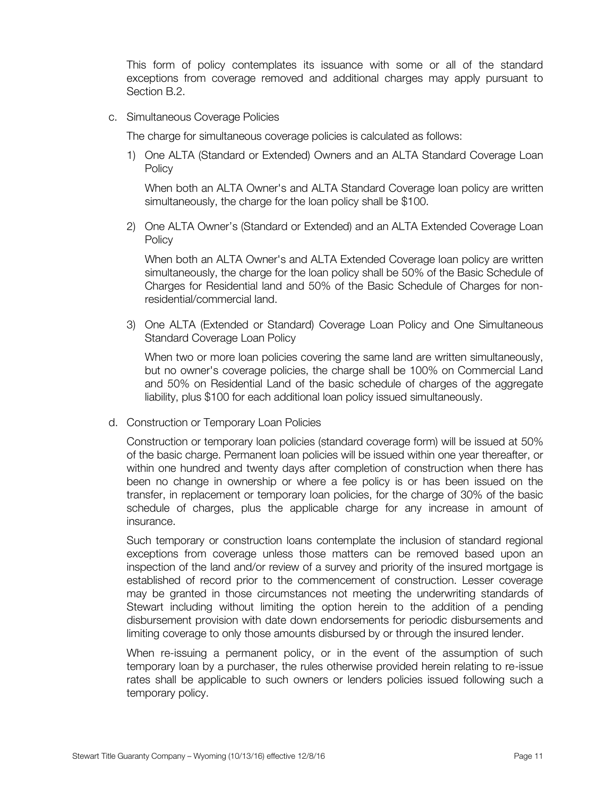This form of policy contemplates its issuance with some or all of the standard exceptions from coverage removed and additional charges may apply pursuant to Section B.2.

c. Simultaneous Coverage Policies

The charge for simultaneous coverage policies is calculated as follows:

1) One ALTA (Standard or Extended) Owners and an ALTA Standard Coverage Loan **Policy** 

When both an ALTA Owner's and ALTA Standard Coverage loan policy are written simultaneously, the charge for the loan policy shall be \$100.

2) One ALTA Owner's (Standard or Extended) and an ALTA Extended Coverage Loan **Policy** 

When both an ALTA Owner's and ALTA Extended Coverage loan policy are written simultaneously, the charge for the loan policy shall be 50% of the Basic Schedule of Charges for Residential land and 50% of the Basic Schedule of Charges for nonresidential/commercial land.

3) One ALTA (Extended or Standard) Coverage Loan Policy and One Simultaneous Standard Coverage Loan Policy

When two or more loan policies covering the same land are written simultaneously, but no owner's coverage policies, the charge shall be 100% on Commercial Land and 50% on Residential Land of the basic schedule of charges of the aggregate liability, plus \$100 for each additional loan policy issued simultaneously.

d. Construction or Temporary Loan Policies

Construction or temporary loan policies (standard coverage form) will be issued at 50% of the basic charge. Permanent loan policies will be issued within one year thereafter, or within one hundred and twenty days after completion of construction when there has been no change in ownership or where a fee policy is or has been issued on the transfer, in replacement or temporary loan policies, for the charge of 30% of the basic schedule of charges, plus the applicable charge for any increase in amount of insurance.

Such temporary or construction loans contemplate the inclusion of standard regional exceptions from coverage unless those matters can be removed based upon an inspection of the land and/or review of a survey and priority of the insured mortgage is established of record prior to the commencement of construction. Lesser coverage may be granted in those circumstances not meeting the underwriting standards of Stewart including without limiting the option herein to the addition of a pending disbursement provision with date down endorsements for periodic disbursements and limiting coverage to only those amounts disbursed by or through the insured lender.

When re-issuing a permanent policy, or in the event of the assumption of such temporary loan by a purchaser, the rules otherwise provided herein relating to re-issue rates shall be applicable to such owners or lenders policies issued following such a temporary policy.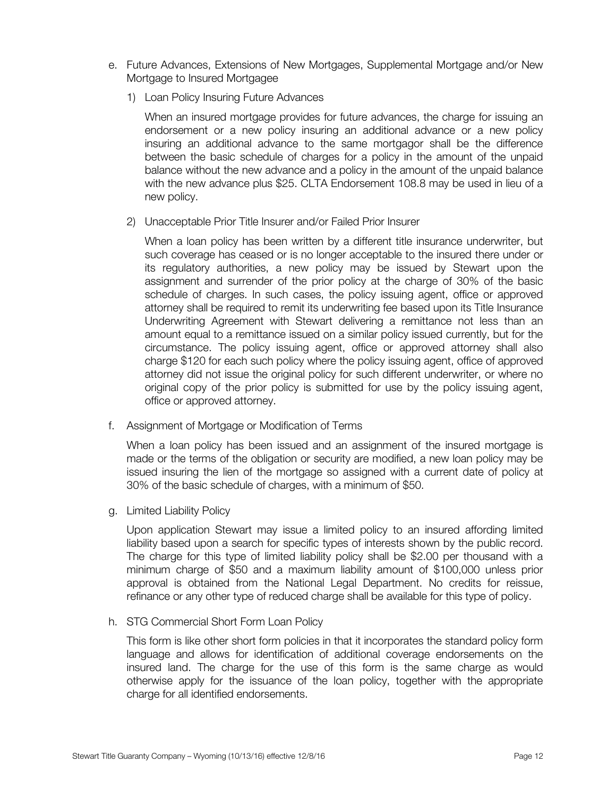- e. Future Advances, Extensions of New Mortgages, Supplemental Mortgage and/or New Mortgage to Insured Mortgagee
	- 1) Loan Policy Insuring Future Advances

When an insured mortgage provides for future advances, the charge for issuing an endorsement or a new policy insuring an additional advance or a new policy insuring an additional advance to the same mortgagor shall be the difference between the basic schedule of charges for a policy in the amount of the unpaid balance without the new advance and a policy in the amount of the unpaid balance with the new advance plus \$25. CLTA Endorsement 108.8 may be used in lieu of a new policy.

2) Unacceptable Prior Title Insurer and/or Failed Prior Insurer

When a loan policy has been written by a different title insurance underwriter, but such coverage has ceased or is no longer acceptable to the insured there under or its regulatory authorities, a new policy may be issued by Stewart upon the assignment and surrender of the prior policy at the charge of 30% of the basic schedule of charges. In such cases, the policy issuing agent, office or approved attorney shall be required to remit its underwriting fee based upon its Title Insurance Underwriting Agreement with Stewart delivering a remittance not less than an amount equal to a remittance issued on a similar policy issued currently, but for the circumstance. The policy issuing agent, office or approved attorney shall also charge \$120 for each such policy where the policy issuing agent, office of approved attorney did not issue the original policy for such different underwriter, or where no original copy of the prior policy is submitted for use by the policy issuing agent, office or approved attorney.

f. Assignment of Mortgage or Modification of Terms

When a loan policy has been issued and an assignment of the insured mortgage is made or the terms of the obligation or security are modified, a new loan policy may be issued insuring the lien of the mortgage so assigned with a current date of policy at 30% of the basic schedule of charges, with a minimum of \$50.

g. Limited Liability Policy

Upon application Stewart may issue a limited policy to an insured affording limited liability based upon a search for specific types of interests shown by the public record. The charge for this type of limited liability policy shall be \$2.00 per thousand with a minimum charge of \$50 and a maximum liability amount of \$100,000 unless prior approval is obtained from the National Legal Department. No credits for reissue, refinance or any other type of reduced charge shall be available for this type of policy.

h. STG Commercial Short Form Loan Policy

This form is like other short form policies in that it incorporates the standard policy form language and allows for identification of additional coverage endorsements on the insured land. The charge for the use of this form is the same charge as would otherwise apply for the issuance of the loan policy, together with the appropriate charge for all identified endorsements.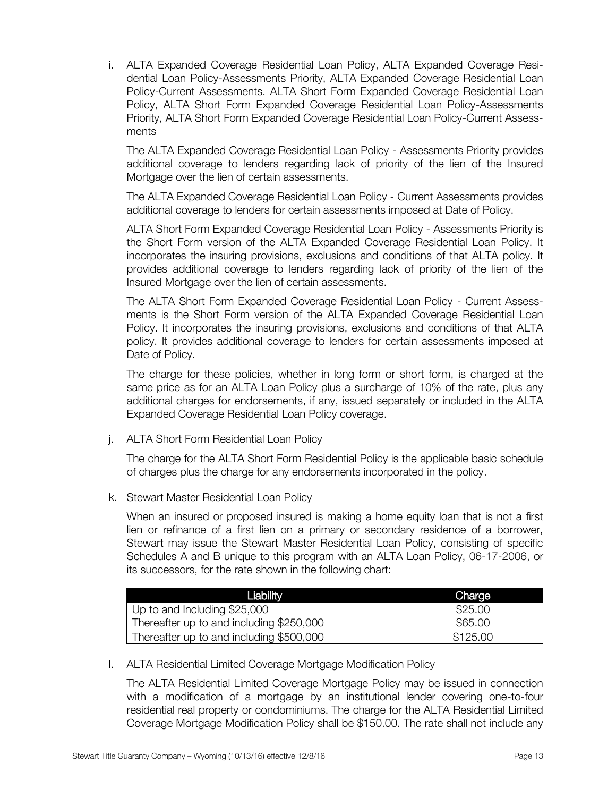i. ALTA Expanded Coverage Residential Loan Policy, ALTA Expanded Coverage Residential Loan Policy-Assessments Priority, ALTA Expanded Coverage Residential Loan Policy-Current Assessments. ALTA Short Form Expanded Coverage Residential Loan Policy, ALTA Short Form Expanded Coverage Residential Loan Policy-Assessments Priority, ALTA Short Form Expanded Coverage Residential Loan Policy-Current Assessments

The ALTA Expanded Coverage Residential Loan Policy - Assessments Priority provides additional coverage to lenders regarding lack of priority of the lien of the Insured Mortgage over the lien of certain assessments.

The ALTA Expanded Coverage Residential Loan Policy - Current Assessments provides additional coverage to lenders for certain assessments imposed at Date of Policy.

ALTA Short Form Expanded Coverage Residential Loan Policy - Assessments Priority is the Short Form version of the ALTA Expanded Coverage Residential Loan Policy. It incorporates the insuring provisions, exclusions and conditions of that ALTA policy. It provides additional coverage to lenders regarding lack of priority of the lien of the Insured Mortgage over the lien of certain assessments.

The ALTA Short Form Expanded Coverage Residential Loan Policy - Current Assessments is the Short Form version of the ALTA Expanded Coverage Residential Loan Policy. It incorporates the insuring provisions, exclusions and conditions of that ALTA policy. It provides additional coverage to lenders for certain assessments imposed at Date of Policy.

The charge for these policies, whether in long form or short form, is charged at the same price as for an ALTA Loan Policy plus a surcharge of 10% of the rate, plus any additional charges for endorsements, if any, issued separately or included in the ALTA Expanded Coverage Residential Loan Policy coverage.

j. ALTA Short Form Residential Loan Policy

The charge for the ALTA Short Form Residential Policy is the applicable basic schedule of charges plus the charge for any endorsements incorporated in the policy.

k. Stewart Master Residential Loan Policy

When an insured or proposed insured is making a home equity loan that is not a first lien or refinance of a first lien on a primary or secondary residence of a borrower, Stewart may issue the Stewart Master Residential Loan Policy, consisting of specific Schedules A and B unique to this program with an ALTA Loan Policy, 06-17-2006, or its successors, for the rate shown in the following chart:

| 'Liability                               | Charge   |
|------------------------------------------|----------|
| Up to and Including \$25,000             | \$25.00  |
| Thereafter up to and including \$250,000 | \$65,00  |
| Thereafter up to and including \$500,000 | \$125.00 |

l. ALTA Residential Limited Coverage Mortgage Modification Policy

The ALTA Residential Limited Coverage Mortgage Policy may be issued in connection with a modification of a mortgage by an institutional lender covering one-to-four residential real property or condominiums. The charge for the ALTA Residential Limited Coverage Mortgage Modification Policy shall be \$150.00. The rate shall not include any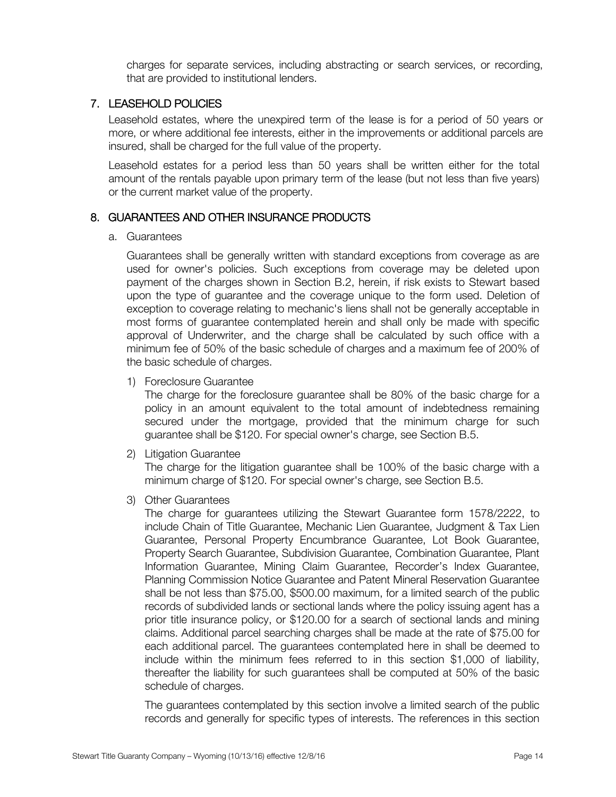charges for separate services, including abstracting or search services, or recording, that are provided to institutional lenders.

#### 7. LEASEHOLD POLICIES

Leasehold estates, where the unexpired term of the lease is for a period of 50 years or more, or where additional fee interests, either in the improvements or additional parcels are insured, shall be charged for the full value of the property.

Leasehold estates for a period less than 50 years shall be written either for the total amount of the rentals payable upon primary term of the lease (but not less than five years) or the current market value of the property.

#### 8. GUARANTEES AND OTHER INSURANCE PRODUCTS

#### a. Guarantees

Guarantees shall be generally written with standard exceptions from coverage as are used for owner's policies. Such exceptions from coverage may be deleted upon payment of the charges shown in Section B.2, herein, if risk exists to Stewart based upon the type of guarantee and the coverage unique to the form used. Deletion of exception to coverage relating to mechanic's liens shall not be generally acceptable in most forms of guarantee contemplated herein and shall only be made with specific approval of Underwriter, and the charge shall be calculated by such office with a minimum fee of 50% of the basic schedule of charges and a maximum fee of 200% of the basic schedule of charges.

1) Foreclosure Guarantee

The charge for the foreclosure guarantee shall be 80% of the basic charge for a policy in an amount equivalent to the total amount of indebtedness remaining secured under the mortgage, provided that the minimum charge for such guarantee shall be \$120. For special owner's charge, see Section B.5.

2) Litigation Guarantee

The charge for the litigation guarantee shall be 100% of the basic charge with a minimum charge of \$120. For special owner's charge, see Section B.5.

3) Other Guarantees

The charge for guarantees utilizing the Stewart Guarantee form 1578/2222, to include Chain of Title Guarantee, Mechanic Lien Guarantee, Judgment & Tax Lien Guarantee, Personal Property Encumbrance Guarantee, Lot Book Guarantee, Property Search Guarantee, Subdivision Guarantee, Combination Guarantee, Plant Information Guarantee, Mining Claim Guarantee, Recorder's Index Guarantee, Planning Commission Notice Guarantee and Patent Mineral Reservation Guarantee shall be not less than \$75.00, \$500.00 maximum, for a limited search of the public records of subdivided lands or sectional lands where the policy issuing agent has a prior title insurance policy, or \$120.00 for a search of sectional lands and mining claims. Additional parcel searching charges shall be made at the rate of \$75.00 for each additional parcel. The guarantees contemplated here in shall be deemed to include within the minimum fees referred to in this section \$1,000 of liability, thereafter the liability for such guarantees shall be computed at 50% of the basic schedule of charges.

The guarantees contemplated by this section involve a limited search of the public records and generally for specific types of interests. The references in this section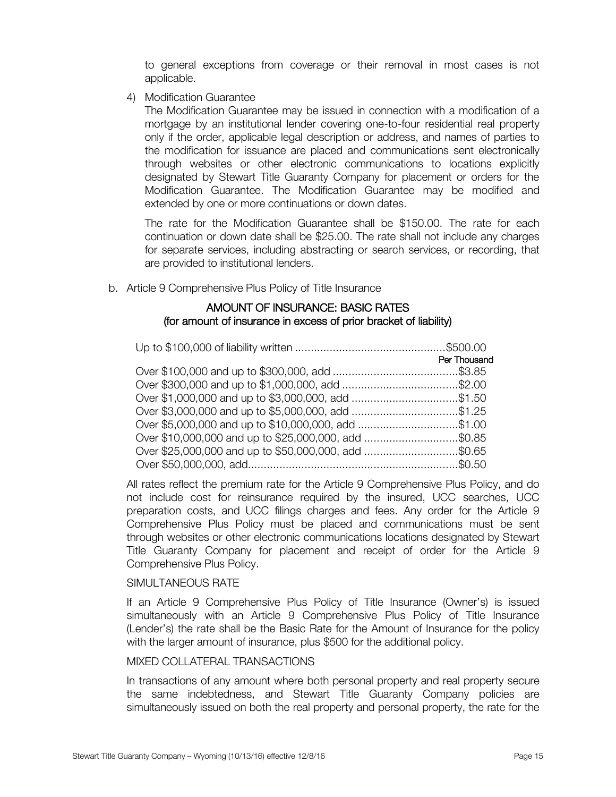to general exceptions from coverage or their removal in most cases is not applicable.

4) Modification Guarantee

The Modification Guarantee may be issued in connection with a modification of a mortgage by an institutional lender covering one-to-four residential real property only if the order, applicable legal description or address, and names of parties to the modification for issuance are placed and communications sent electronically through websites or other electronic communications to locations explicitly designated by Stewart Title Guaranty Company for placement or orders for the Modification Guarantee. The Modification Guarantee may be modified and extended by one or more continuations or down dates.

The rate for the Modification Guarantee shall be \$150.00. The rate for each continuation or down date shall be \$25.00. The rate shall not include any charges for separate services, including abstracting or search services, or recording, that are provided to institutional lenders.

b. Article 9 Comprehensive Plus Policy of Title Insurance

#### AMOUNT OF INSURANCE: BASIC RATES (for amount of insurance in excess of prior bracket of liability)

| Per Thousand |
|--------------|
|              |
|              |
|              |
|              |
|              |
|              |
|              |
|              |

All rates reflect the premium rate for the Article 9 Comprehensive Plus Policy, and do not include cost for reinsurance required by the insured, UCC searches, UCC preparation costs, and UCC filings charges and fees. Any order for the Article 9 Comprehensive Plus Policy must be placed and communications must be sent through websites or other electronic communications locations designated by Stewart Title Guaranty Company for placement and receipt of order for the Article 9 Comprehensive Plus Policy.

#### SIMULTANEOUS RATE

If an Article 9 Comprehensive Plus Policy of Title Insurance (Owner's) is issued simultaneously with an Article 9 Comprehensive Plus Policy of Title Insurance (Lender's) the rate shall be the Basic Rate for the Amount of Insurance for the policy with the larger amount of insurance, plus \$500 for the additional policy.

#### MIXED COLLATERAL TRANSACTIONS

In transactions of any amount where both personal property and real property secure the same indebtedness, and Stewart Title Guaranty Company policies are simultaneously issued on both the real property and personal property, the rate for the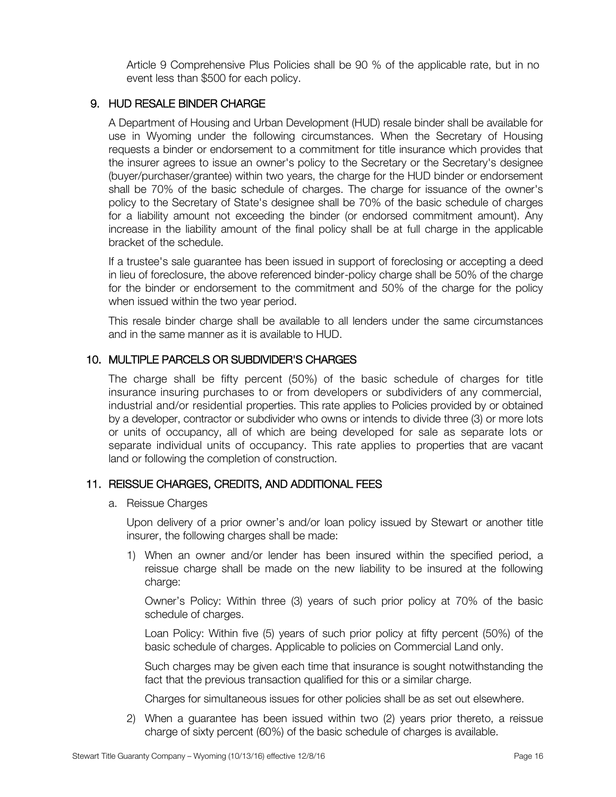Article 9 Comprehensive Plus Policies shall be 90 % of the applicable rate, but in no event less than \$500 for each policy.

#### 9. HUD RESALE BINDER CHARGE

A Department of Housing and Urban Development (HUD) resale binder shall be available for use in Wyoming under the following circumstances. When the Secretary of Housing requests a binder or endorsement to a commitment for title insurance which provides that the insurer agrees to issue an owner's policy to the Secretary or the Secretary's designee (buyer/purchaser/grantee) within two years, the charge for the HUD binder or endorsement shall be 70% of the basic schedule of charges. The charge for issuance of the owner's policy to the Secretary of State's designee shall be 70% of the basic schedule of charges for a liability amount not exceeding the binder (or endorsed commitment amount). Any increase in the liability amount of the final policy shall be at full charge in the applicable bracket of the schedule.

If a trustee's sale guarantee has been issued in support of foreclosing or accepting a deed in lieu of foreclosure, the above referenced binder-policy charge shall be 50% of the charge for the binder or endorsement to the commitment and 50% of the charge for the policy when issued within the two year period.

This resale binder charge shall be available to all lenders under the same circumstances and in the same manner as it is available to HUD.

#### 10. MULTIPLE PARCELS OR SUBDIVIDER'S CHARGES

The charge shall be fifty percent (50%) of the basic schedule of charges for title insurance insuring purchases to or from developers or subdividers of any commercial, industrial and/or residential properties. This rate applies to Policies provided by or obtained by a developer, contractor or subdivider who owns or intends to divide three (3) or more lots or units of occupancy, all of which are being developed for sale as separate lots or separate individual units of occupancy. This rate applies to properties that are vacant land or following the completion of construction.

#### 11. REISSUE CHARGES, CREDITS, AND ADDITIONAL FEES

a. Reissue Charges

Upon delivery of a prior owner's and/or loan policy issued by Stewart or another title insurer, the following charges shall be made:

1) When an owner and/or lender has been insured within the specified period, a reissue charge shall be made on the new liability to be insured at the following charge:

Owner's Policy: Within three (3) years of such prior policy at 70% of the basic schedule of charges.

Loan Policy: Within five (5) years of such prior policy at fifty percent (50%) of the basic schedule of charges. Applicable to policies on Commercial Land only.

Such charges may be given each time that insurance is sought notwithstanding the fact that the previous transaction qualified for this or a similar charge.

Charges for simultaneous issues for other policies shall be as set out elsewhere.

2) When a guarantee has been issued within two (2) years prior thereto, a reissue charge of sixty percent (60%) of the basic schedule of charges is available.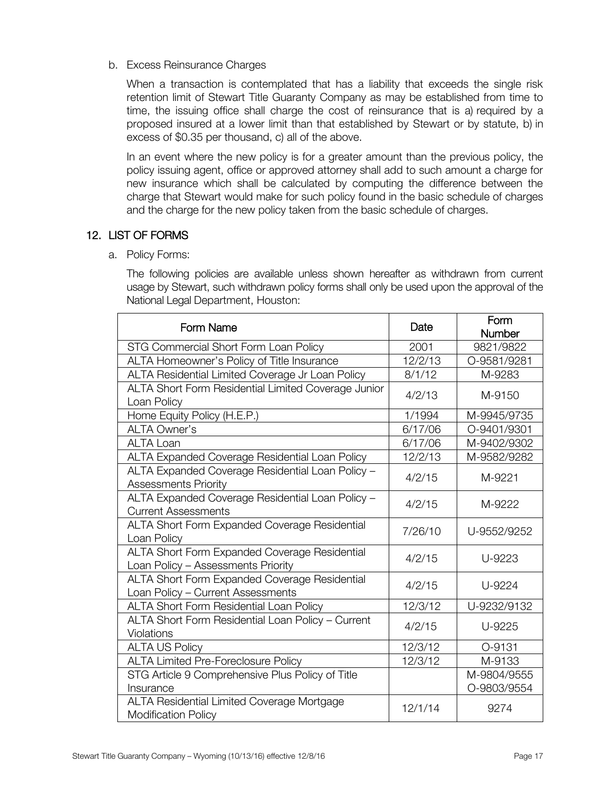b. Excess Reinsurance Charges

When a transaction is contemplated that has a liability that exceeds the single risk retention limit of Stewart Title Guaranty Company as may be established from time to time, the issuing office shall charge the cost of reinsurance that is a) required by a proposed insured at a lower limit than that established by Stewart or by statute, b) in excess of \$0.35 per thousand, c) all of the above.

In an event where the new policy is for a greater amount than the previous policy, the policy issuing agent, office or approved attorney shall add to such amount a charge for new insurance which shall be calculated by computing the difference between the charge that Stewart would make for such policy found in the basic schedule of charges and the charge for the new policy taken from the basic schedule of charges.

## 12. LIST OF FORMS

a. Policy Forms:

The following policies are available unless shown hereafter as withdrawn from current usage by Stewart, such withdrawn policy forms shall only be used upon the approval of the National Legal Department, Houston:

| Form Name                                                                           | Date    | Form                       |
|-------------------------------------------------------------------------------------|---------|----------------------------|
| STG Commercial Short Form Loan Policy                                               | 2001    | Number<br>9821/9822        |
| ALTA Homeowner's Policy of Title Insurance                                          | 12/2/13 | O-9581/9281                |
| ALTA Residential Limited Coverage Jr Loan Policy                                    | 8/1/12  | M-9283                     |
| ALTA Short Form Residential Limited Coverage Junior<br>Loan Policy                  | 4/2/13  | M-9150                     |
| Home Equity Policy (H.E.P.)                                                         | 1/1994  | M-9945/9735                |
| <b>ALTA Owner's</b>                                                                 | 6/17/06 | O-9401/9301                |
| <b>ALTA Loan</b>                                                                    | 6/17/06 | M-9402/9302                |
| ALTA Expanded Coverage Residential Loan Policy                                      | 12/2/13 | M-9582/9282                |
| ALTA Expanded Coverage Residential Loan Policy -<br>Assessments Priority            | 4/2/15  | M-9221                     |
| ALTA Expanded Coverage Residential Loan Policy -<br><b>Current Assessments</b>      | 4/2/15  | M-9222                     |
| ALTA Short Form Expanded Coverage Residential<br>Loan Policy                        | 7/26/10 | U-9552/9252                |
| ALTA Short Form Expanded Coverage Residential<br>Loan Policy - Assessments Priority | 4/2/15  | U-9223                     |
| ALTA Short Form Expanded Coverage Residential<br>Loan Policy - Current Assessments  | 4/2/15  | U-9224                     |
| ALTA Short Form Residential Loan Policy                                             | 12/3/12 | U-9232/9132                |
| ALTA Short Form Residential Loan Policy - Current<br>Violations                     | 4/2/15  | U-9225                     |
| <b>ALTA US Policy</b>                                                               | 12/3/12 | O-9131                     |
| <b>ALTA Limited Pre-Foreclosure Policy</b>                                          | 12/3/12 | M-9133                     |
| STG Article 9 Comprehensive Plus Policy of Title<br>Insurance                       |         | M-9804/9555<br>O-9803/9554 |
| ALTA Residential Limited Coverage Mortgage<br><b>Modification Policy</b>            | 12/1/14 | 9274                       |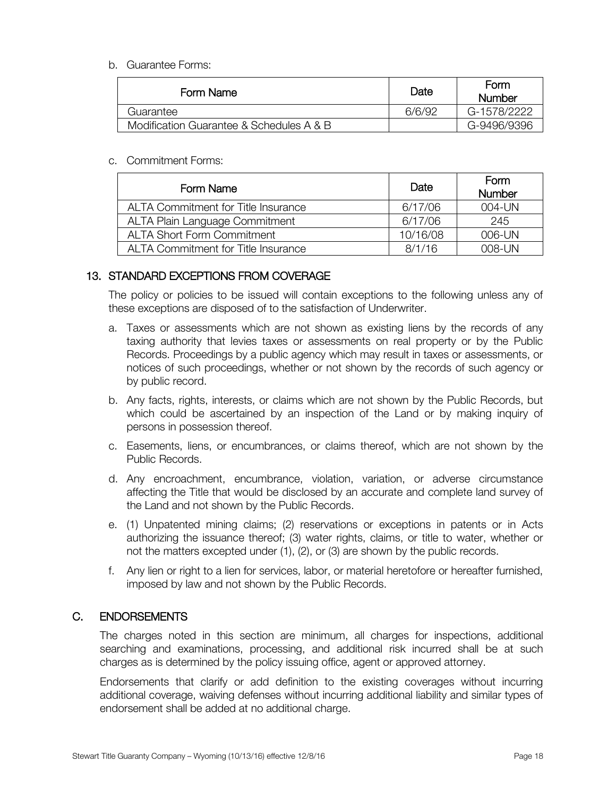#### b. Guarantee Forms:

| Form Name                                | Date   | <b>Form</b><br>Number |
|------------------------------------------|--------|-----------------------|
| Guarantee                                | 6/6/92 | G-1578/2222           |
| Modification Guarantee & Schedules A & B |        | G-9496/9396           |

#### c. Commitment Forms:

| Form Name                                  | Date     | Form<br>Number |
|--------------------------------------------|----------|----------------|
| <b>ALTA Commitment for Title Insurance</b> | 6/17/06  | 004-UN         |
| ALTA Plain Language Commitment             | 6/17/06  | 245            |
| <b>ALTA Short Form Commitment</b>          | 10/16/08 | 006-UN         |
| <b>ALTA Commitment for Title Insurance</b> | 8/1/16   | 008-UN         |

#### 13. STANDARD EXCEPTIONS FROM COVERAGE

The policy or policies to be issued will contain exceptions to the following unless any of these exceptions are disposed of to the satisfaction of Underwriter.

- a. Taxes or assessments which are not shown as existing liens by the records of any taxing authority that levies taxes or assessments on real property or by the Public Records. Proceedings by a public agency which may result in taxes or assessments, or notices of such proceedings, whether or not shown by the records of such agency or by public record.
- b. Any facts, rights, interests, or claims which are not shown by the Public Records, but which could be ascertained by an inspection of the Land or by making inquiry of persons in possession thereof.
- c. Easements, liens, or encumbrances, or claims thereof, which are not shown by the Public Records.
- d. Any encroachment, encumbrance, violation, variation, or adverse circumstance affecting the Title that would be disclosed by an accurate and complete land survey of the Land and not shown by the Public Records.
- e. (1) Unpatented mining claims; (2) reservations or exceptions in patents or in Acts authorizing the issuance thereof; (3) water rights, claims, or title to water, whether or not the matters excepted under (1), (2), or (3) are shown by the public records.
- f. Any lien or right to a lien for services, labor, or material heretofore or hereafter furnished, imposed by law and not shown by the Public Records.

#### C. ENDORSEMENTS

The charges noted in this section are minimum, all charges for inspections, additional searching and examinations, processing, and additional risk incurred shall be at such charges as is determined by the policy issuing office, agent or approved attorney.

Endorsements that clarify or add definition to the existing coverages without incurring additional coverage, waiving defenses without incurring additional liability and similar types of endorsement shall be added at no additional charge.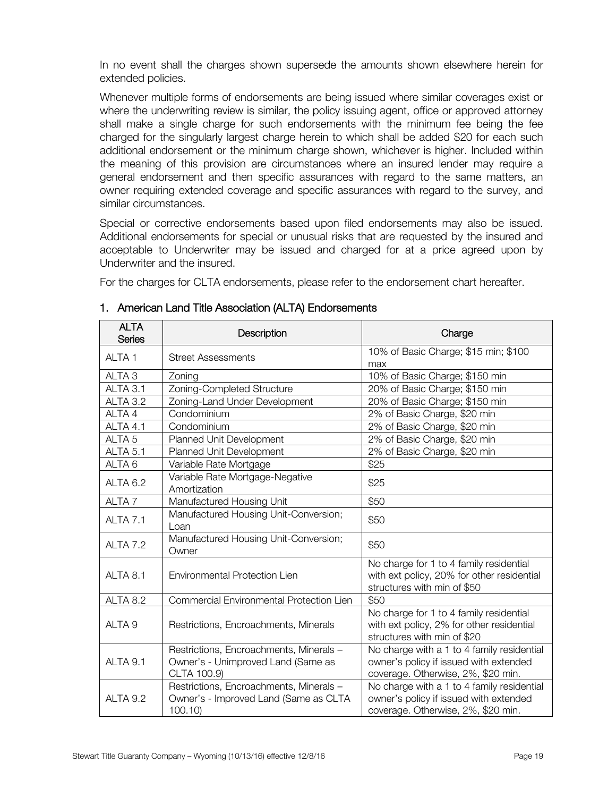In no event shall the charges shown supersede the amounts shown elsewhere herein for extended policies.

Whenever multiple forms of endorsements are being issued where similar coverages exist or where the underwriting review is similar, the policy issuing agent, office or approved attorney shall make a single charge for such endorsements with the minimum fee being the fee charged for the singularly largest charge herein to which shall be added \$20 for each such additional endorsement or the minimum charge shown, whichever is higher. Included within the meaning of this provision are circumstances where an insured lender may require a general endorsement and then specific assurances with regard to the same matters, an owner requiring extended coverage and specific assurances with regard to the survey, and similar circumstances.

Special or corrective endorsements based upon filed endorsements may also be issued. Additional endorsements for special or unusual risks that are requested by the insured and acceptable to Underwriter may be issued and charged for at a price agreed upon by Underwriter and the insured.

For the charges for CLTA endorsements, please refer to the endorsement chart hereafter.

| <b>ALTA</b><br><b>Series</b> | Description                                                                                  | Charge                                                                                                                     |
|------------------------------|----------------------------------------------------------------------------------------------|----------------------------------------------------------------------------------------------------------------------------|
| ALTA <sub>1</sub>            | <b>Street Assessments</b>                                                                    | 10% of Basic Charge; \$15 min; \$100<br>max                                                                                |
| ALTA <sub>3</sub>            | Zoning                                                                                       | 10% of Basic Charge; \$150 min                                                                                             |
| ALTA 3.1                     | Zoning-Completed Structure                                                                   | 20% of Basic Charge; \$150 min                                                                                             |
| ALTA 3.2                     | Zoning-Land Under Development                                                                | 20% of Basic Charge; \$150 min                                                                                             |
| ALTA 4                       | Condominium                                                                                  | 2% of Basic Charge, \$20 min                                                                                               |
| ALTA 4.1                     | Condominium                                                                                  | 2% of Basic Charge, \$20 min                                                                                               |
| ALTA <sub>5</sub>            | Planned Unit Development                                                                     | 2% of Basic Charge, \$20 min                                                                                               |
| ALTA <sub>5.1</sub>          | Planned Unit Development                                                                     | 2% of Basic Charge, \$20 min                                                                                               |
| ALTA <sub>6</sub>            | Variable Rate Mortgage                                                                       | \$25                                                                                                                       |
| ALTA <sub>6.2</sub>          | Variable Rate Mortgage-Negative<br>Amortization                                              | \$25                                                                                                                       |
| ALTA <sub>7</sub>            | Manufactured Housing Unit                                                                    | \$50                                                                                                                       |
| ALTA <sub>7.1</sub>          | Manufactured Housing Unit-Conversion;<br>Loan                                                | \$50                                                                                                                       |
| ALTA 7.2                     | Manufactured Housing Unit-Conversion;<br>Owner                                               | \$50                                                                                                                       |
| ALTA 8.1                     | Environmental Protection Lien                                                                | No charge for 1 to 4 family residential<br>with ext policy, 20% for other residential<br>structures with min of \$50       |
| ALTA 8.2                     | Commercial Environmental Protection Lien                                                     | \$50                                                                                                                       |
| ALTA <sub>9</sub>            | Restrictions, Encroachments, Minerals                                                        | No charge for 1 to 4 family residential<br>with ext policy, 2% for other residential<br>structures with min of \$20        |
| ALTA 9.1                     | Restrictions, Encroachments, Minerals -<br>Owner's - Unimproved Land (Same as<br>CLTA 100.9) | No charge with a 1 to 4 family residential<br>owner's policy if issued with extended<br>coverage. Otherwise, 2%, \$20 min. |
| ALTA 9.2                     | Restrictions, Encroachments, Minerals -<br>Owner's - Improved Land (Same as CLTA<br>100.10   | No charge with a 1 to 4 family residential<br>owner's policy if issued with extended<br>coverage. Otherwise, 2%, \$20 min. |

#### 1. American Land Title Association (ALTA) Endorsements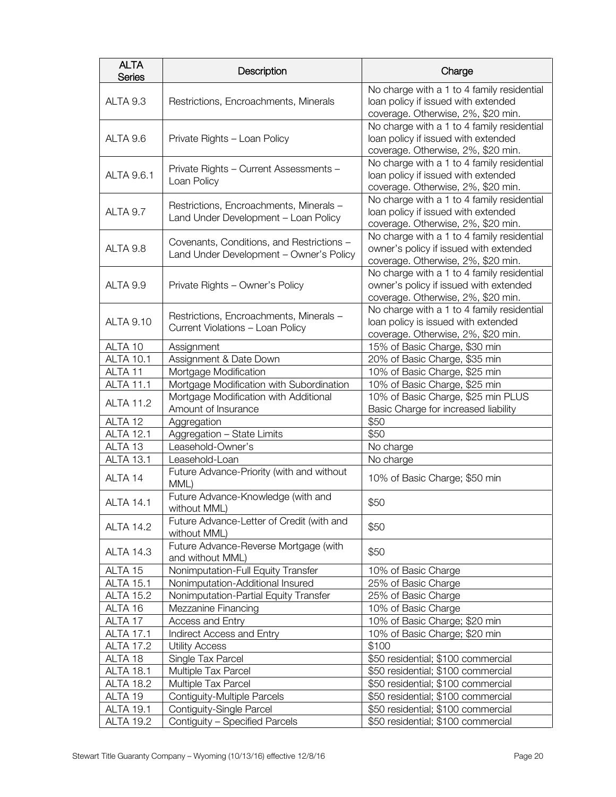| <b>ALTA</b><br><b>Series</b> | Description                                                                          | Charge                                                                                                                     |
|------------------------------|--------------------------------------------------------------------------------------|----------------------------------------------------------------------------------------------------------------------------|
| ALTA 9.3                     | Restrictions, Encroachments, Minerals                                                | No charge with a 1 to 4 family residential<br>loan policy if issued with extended<br>coverage. Otherwise, 2%, \$20 min.    |
| ALTA 9.6                     | Private Rights - Loan Policy                                                         | No charge with a 1 to 4 family residential<br>loan policy if issued with extended<br>coverage. Otherwise, 2%, \$20 min.    |
| ALTA 9.6.1                   | Private Rights - Current Assessments -<br>Loan Policy                                | No charge with a 1 to 4 family residential<br>loan policy if issued with extended<br>coverage. Otherwise, 2%, \$20 min.    |
| ALTA 9.7                     | Restrictions, Encroachments, Minerals -<br>Land Under Development - Loan Policy      | No charge with a 1 to 4 family residential<br>loan policy if issued with extended<br>coverage. Otherwise, 2%, \$20 min.    |
| ALTA 9.8                     | Covenants, Conditions, and Restrictions -<br>Land Under Development - Owner's Policy | No charge with a 1 to 4 family residential<br>owner's policy if issued with extended<br>coverage. Otherwise, 2%, \$20 min. |
| ALTA 9.9                     | Private Rights - Owner's Policy                                                      | No charge with a 1 to 4 family residential<br>owner's policy if issued with extended<br>coverage. Otherwise, 2%, \$20 min. |
| <b>ALTA 9.10</b>             | Restrictions, Encroachments, Minerals -<br>Current Violations - Loan Policy          | No charge with a 1 to 4 family residential<br>loan policy is issued with extended<br>coverage. Otherwise, 2%, \$20 min.    |
| ALTA 10                      | Assignment                                                                           | 15% of Basic Charge, \$30 min                                                                                              |
| <b>ALTA 10.1</b>             | Assignment & Date Down                                                               | 20% of Basic Charge, \$35 min                                                                                              |
| ALTA <sub>11</sub>           | Mortgage Modification                                                                | 10% of Basic Charge, \$25 min                                                                                              |
| <b>ALTA 11.1</b>             | Mortgage Modification with Subordination                                             | 10% of Basic Charge, \$25 min                                                                                              |
| <b>ALTA 11.2</b>             | Mortgage Modification with Additional<br>Amount of Insurance                         | 10% of Basic Charge, \$25 min PLUS<br>Basic Charge for increased liability                                                 |
| ALTA <sub>12</sub>           | Aggregation                                                                          | \$50                                                                                                                       |
| <b>ALTA 12.1</b>             | Aggregation - State Limits                                                           | \$50                                                                                                                       |
| ALTA <sub>13</sub>           | Leasehold-Owner's                                                                    | No charge                                                                                                                  |
| <b>ALTA 13.1</b>             | Leasehold-Loan                                                                       | No charge                                                                                                                  |
| ALTA 14                      | Future Advance-Priority (with and without<br>MML)                                    | 10% of Basic Charge; \$50 min                                                                                              |
| <b>ALTA 14.1</b>             | Future Advance-Knowledge (with and<br>without MML)                                   | \$50                                                                                                                       |
| <b>ALTA 14.2</b>             | Future Advance-Letter of Credit (with and<br>without MML)                            | \$50                                                                                                                       |
| <b>ALTA 14.3</b>             | Future Advance-Reverse Mortgage (with<br>and without MML)                            | \$50                                                                                                                       |
| ALTA 15                      | Nonimputation-Full Equity Transfer                                                   | 10% of Basic Charge                                                                                                        |
| <b>ALTA 15.1</b>             | Nonimputation-Additional Insured                                                     | 25% of Basic Charge                                                                                                        |
| <b>ALTA 15.2</b>             | Nonimputation-Partial Equity Transfer                                                | 25% of Basic Charge                                                                                                        |
| ALTA 16                      | Mezzanine Financing                                                                  | 10% of Basic Charge                                                                                                        |
| ALTA 17                      | Access and Entry                                                                     | 10% of Basic Charge; \$20 min                                                                                              |
| <b>ALTA 17.1</b>             | Indirect Access and Entry                                                            | 10% of Basic Charge; \$20 min                                                                                              |
| <b>ALTA 17.2</b>             | <b>Utility Access</b>                                                                | \$100                                                                                                                      |
| ALTA 18                      | Single Tax Parcel                                                                    | \$50 residential; \$100 commercial                                                                                         |
| <b>ALTA 18.1</b>             | Multiple Tax Parcel                                                                  | \$50 residential; \$100 commercial                                                                                         |
| <b>ALTA 18.2</b>             | Multiple Tax Parcel                                                                  | \$50 residential; \$100 commercial                                                                                         |
| ALTA 19                      | Contiguity-Multiple Parcels                                                          | \$50 residential; \$100 commercial                                                                                         |
| <b>ALTA 19.1</b>             | Contiguity-Single Parcel                                                             | \$50 residential; \$100 commercial                                                                                         |
| <b>ALTA 19.2</b>             | Contiguity - Specified Parcels                                                       | \$50 residential; \$100 commercial                                                                                         |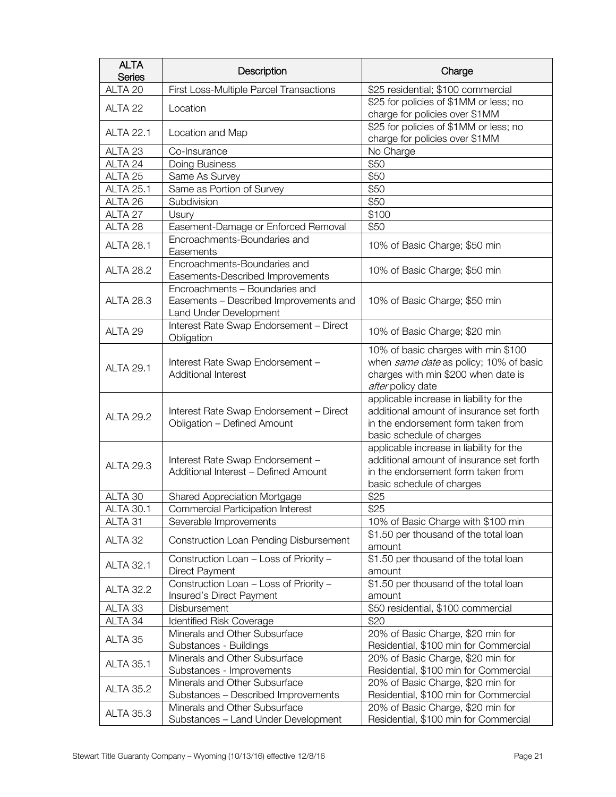| <b>ALTA</b><br><b>Series</b> | Description                                                                                        | Charge                                                                                                                                                  |
|------------------------------|----------------------------------------------------------------------------------------------------|---------------------------------------------------------------------------------------------------------------------------------------------------------|
| ALTA <sub>20</sub>           | First Loss-Multiple Parcel Transactions                                                            | \$25 residential; \$100 commercial                                                                                                                      |
| ALTA <sub>22</sub>           | Location                                                                                           | \$25 for policies of \$1MM or less; no<br>charge for policies over \$1MM                                                                                |
| <b>ALTA 22.1</b>             | Location and Map                                                                                   | \$25 for policies of \$1MM or less; no<br>charge for policies over \$1MM                                                                                |
| ALTA <sub>23</sub>           | Co-Insurance                                                                                       | No Charge                                                                                                                                               |
| ALTA 24                      | Doing Business                                                                                     | \$50                                                                                                                                                    |
| ALTA 25                      | Same As Survey                                                                                     | \$50                                                                                                                                                    |
| <b>ALTA 25.1</b>             | Same as Portion of Survey                                                                          | \$50                                                                                                                                                    |
| ALTA 26                      | Subdivision                                                                                        | \$50                                                                                                                                                    |
| ALTA 27                      | Usury                                                                                              | \$100                                                                                                                                                   |
| ALTA 28                      | Easement-Damage or Enforced Removal                                                                | \$50                                                                                                                                                    |
| <b>ALTA 28.1</b>             | Encroachments-Boundaries and<br>Easements                                                          | 10% of Basic Charge; \$50 min                                                                                                                           |
| <b>ALTA 28.2</b>             | Encroachments-Boundaries and<br>Easements-Described Improvements                                   | 10% of Basic Charge; \$50 min                                                                                                                           |
| <b>ALTA 28.3</b>             | Encroachments - Boundaries and<br>Easements - Described Improvements and<br>Land Under Development | 10% of Basic Charge; \$50 min                                                                                                                           |
| ALTA 29                      | Interest Rate Swap Endorsement - Direct<br>Obligation                                              | 10% of Basic Charge; \$20 min                                                                                                                           |
| <b>ALTA 29.1</b>             | Interest Rate Swap Endorsement -<br>Additional Interest                                            | 10% of basic charges with min \$100<br>when same date as policy; 10% of basic<br>charges with min \$200 when date is<br>after policy date               |
| <b>ALTA 29.2</b>             | Interest Rate Swap Endorsement - Direct<br>Obligation - Defined Amount                             | applicable increase in liability for the<br>additional amount of insurance set forth<br>in the endorsement form taken from<br>basic schedule of charges |
| <b>ALTA 29.3</b>             | Interest Rate Swap Endorsement -<br>Additional Interest - Defined Amount                           | applicable increase in liability for the<br>additional amount of insurance set forth<br>in the endorsement form taken from<br>basic schedule of charges |
| ALTA 30                      | Shared Appreciation Mortgage                                                                       | \$25                                                                                                                                                    |
| <b>ALTA 30.1</b>             | Commercial Participation Interest                                                                  | \$25                                                                                                                                                    |
| ALTA 31                      | Severable Improvements                                                                             | 10% of Basic Charge with \$100 min                                                                                                                      |
| ALTA 32                      | Construction Loan Pending Disbursement                                                             | \$1.50 per thousand of the total loan<br>amount                                                                                                         |
| <b>ALTA 32.1</b>             | Construction Loan - Loss of Priority -<br>Direct Payment                                           | \$1.50 per thousand of the total loan<br>amount                                                                                                         |
| <b>ALTA 32.2</b>             | Construction Loan - Loss of Priority -<br>Insured's Direct Payment                                 | \$1.50 per thousand of the total loan<br>amount                                                                                                         |
| ALTA <sub>33</sub>           | Disbursement                                                                                       | \$50 residential, \$100 commercial                                                                                                                      |
| ALTA 34                      | <b>Identified Risk Coverage</b>                                                                    | \$20                                                                                                                                                    |
| ALTA 35                      | Minerals and Other Subsurface<br>Substances - Buildings                                            | 20% of Basic Charge, \$20 min for<br>Residential, \$100 min for Commercial                                                                              |
| <b>ALTA 35.1</b>             | Minerals and Other Subsurface<br>Substances - Improvements                                         | 20% of Basic Charge, \$20 min for<br>Residential, \$100 min for Commercial                                                                              |
| <b>ALTA 35.2</b>             | Minerals and Other Subsurface<br>Substances - Described Improvements                               | 20% of Basic Charge, \$20 min for<br>Residential, \$100 min for Commercial                                                                              |
| <b>ALTA 35.3</b>             | Minerals and Other Subsurface<br>Substances - Land Under Development                               | 20% of Basic Charge, \$20 min for<br>Residential, \$100 min for Commercial                                                                              |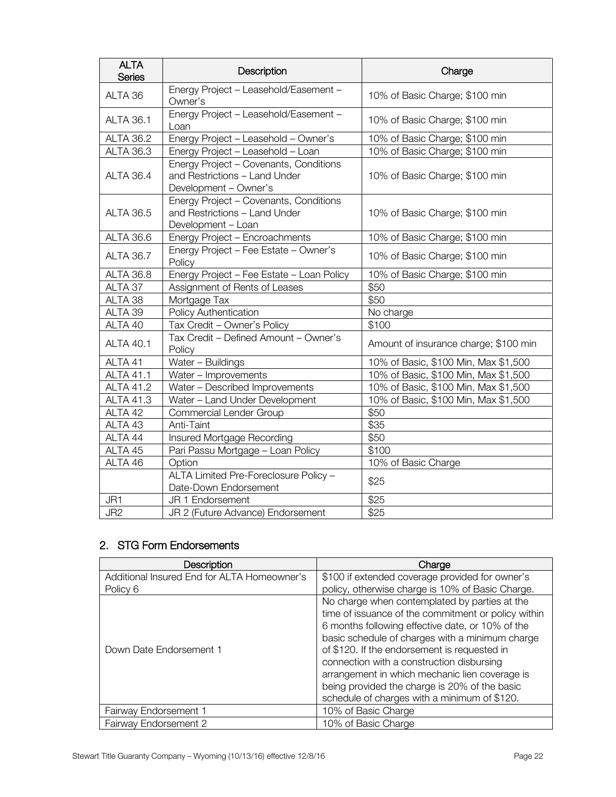| <b>ALTA</b><br><b>Series</b> | Description                                                                                      | Charge                                |
|------------------------------|--------------------------------------------------------------------------------------------------|---------------------------------------|
| ALTA 36                      | Energy Project - Leasehold/Easement -<br>Owner's                                                 | 10% of Basic Charge; \$100 min        |
| <b>ALTA 36.1</b>             | Energy Project - Leasehold/Easement -<br>Loan                                                    | 10% of Basic Charge; \$100 min        |
| <b>ALTA 36.2</b>             | Energy Project - Leasehold - Owner's                                                             | 10% of Basic Charge; \$100 min        |
| <b>ALTA 36.3</b>             | Energy Project - Leasehold - Loan                                                                | 10% of Basic Charge; \$100 min        |
| <b>ALTA 36.4</b>             | Energy Project - Covenants, Conditions<br>and Restrictions - Land Under<br>Development - Owner's | 10% of Basic Charge; \$100 min        |
| <b>ALTA 36.5</b>             | Energy Project - Covenants, Conditions<br>and Restrictions - Land Under<br>Development - Loan    | 10% of Basic Charge; \$100 min        |
| <b>ALTA 36.6</b>             | Energy Project - Encroachments                                                                   | 10% of Basic Charge; \$100 min        |
| <b>ALTA 36.7</b>             | Energy Project - Fee Estate - Owner's<br>Policy                                                  | 10% of Basic Charge; \$100 min        |
| <b>ALTA 36.8</b>             | Energy Project - Fee Estate - Loan Policy                                                        | 10% of Basic Charge; \$100 min        |
| ALTA 37                      | Assignment of Rents of Leases                                                                    | \$50                                  |
| ALTA 38                      | Mortgage Tax                                                                                     | \$50                                  |
| ALTA 39                      | Policy Authentication                                                                            | No charge                             |
| ALTA 40                      | Tax Credit - Owner's Policy                                                                      | \$100                                 |
| <b>ALTA 40.1</b>             | Tax Credit - Defined Amount - Owner's<br>Policy                                                  | Amount of insurance charge; \$100 min |
| ALTA 41                      | Water - Buildings                                                                                | 10% of Basic, \$100 Min, Max \$1,500  |
| <b>ALTA 41.1</b>             | Water - Improvements                                                                             | 10% of Basic, \$100 Min, Max \$1,500  |
| <b>ALTA 41.2</b>             | Water - Described Improvements                                                                   | 10% of Basic, \$100 Min, Max \$1,500  |
| <b>ALTA 41.3</b>             | Water - Land Under Development                                                                   | 10% of Basic, \$100 Min, Max \$1,500  |
| ALTA 42                      | Commercial Lender Group                                                                          | \$50                                  |
| ALTA 43                      | Anti-Taint                                                                                       | \$35                                  |
| ALTA 44                      | Insured Mortgage Recording                                                                       | \$50                                  |
| ALTA 45                      | Pari Passu Mortgage - Loan Policy                                                                | \$100                                 |
| ALTA 46                      | Option                                                                                           | 10% of Basic Charge                   |
|                              | ALTA Limited Pre-Foreclosure Policy -<br>Date-Down Endorsement                                   | \$25                                  |
| JR1                          | JR 1 Endorsement                                                                                 | \$25                                  |
| JR <sub>2</sub>              | JR 2 (Future Advance) Endorsement                                                                | \$25                                  |

# 2. STG Form Endorsements

| Description                                 | Charge                                                                                                                                                                                                                                                                                                                                                                                                                                                      |
|---------------------------------------------|-------------------------------------------------------------------------------------------------------------------------------------------------------------------------------------------------------------------------------------------------------------------------------------------------------------------------------------------------------------------------------------------------------------------------------------------------------------|
| Additional Insured End for ALTA Homeowner's | \$100 if extended coverage provided for owner's                                                                                                                                                                                                                                                                                                                                                                                                             |
| Policy 6                                    | policy, otherwise charge is 10% of Basic Charge.                                                                                                                                                                                                                                                                                                                                                                                                            |
| Down Date Endorsement 1                     | No charge when contemplated by parties at the<br>time of issuance of the commitment or policy within<br>6 months following effective date, or 10% of the<br>basic schedule of charges with a minimum charge<br>of \$120. If the endorsement is requested in<br>connection with a construction disbursing<br>arrangement in which mechanic lien coverage is<br>being provided the charge is 20% of the basic<br>schedule of charges with a minimum of \$120. |
| Fairway Endorsement 1                       | 10% of Basic Charge                                                                                                                                                                                                                                                                                                                                                                                                                                         |
| Fairway Endorsement 2                       | 10% of Basic Charge                                                                                                                                                                                                                                                                                                                                                                                                                                         |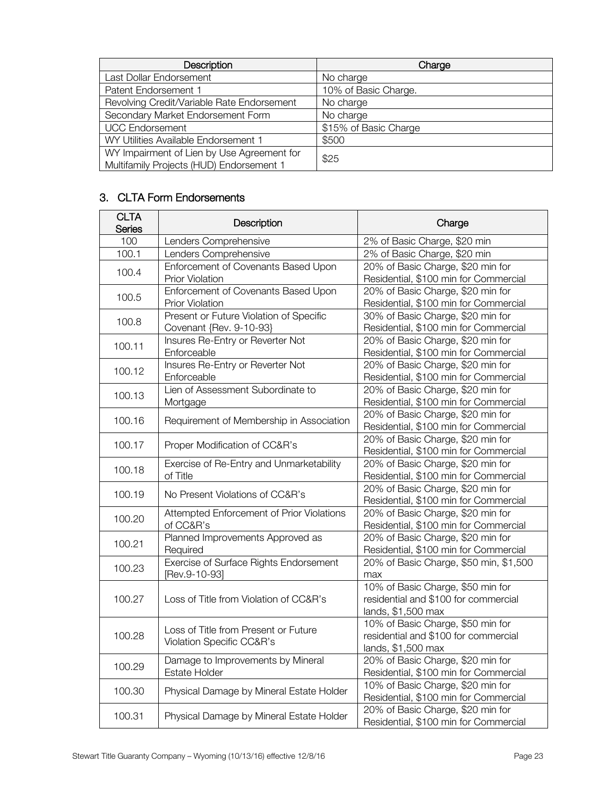| <b>Description</b>                         | Charge                |  |
|--------------------------------------------|-----------------------|--|
| Last Dollar Endorsement                    | No charge             |  |
| Patent Endorsement 1                       | 10% of Basic Charge.  |  |
| Revolving Credit/Variable Rate Endorsement | No charge             |  |
| Secondary Market Endorsement Form          | No charge             |  |
| <b>UCC Endorsement</b>                     | \$15% of Basic Charge |  |
| WY Utilities Available Endorsement 1       | \$500                 |  |
| WY Impairment of Lien by Use Agreement for | \$25                  |  |
| Multifamily Projects (HUD) Endorsement 1   |                       |  |

# 3. CLTA Form Endorsements

| <b>CLTA</b><br><b>Series</b> | Description                                                        | Charge                                                                                          |
|------------------------------|--------------------------------------------------------------------|-------------------------------------------------------------------------------------------------|
| 100                          | Lenders Comprehensive                                              | 2% of Basic Charge, \$20 min                                                                    |
| 100.1                        | Lenders Comprehensive                                              | 2% of Basic Charge, \$20 min                                                                    |
| 100.4                        | Enforcement of Covenants Based Upon<br><b>Prior Violation</b>      | 20% of Basic Charge, \$20 min for<br>Residential, \$100 min for Commercial                      |
| 100.5                        | Enforcement of Covenants Based Upon<br><b>Prior Violation</b>      | 20% of Basic Charge, \$20 min for<br>Residential, \$100 min for Commercial                      |
| 100.8                        | Present or Future Violation of Specific<br>Covenant {Rev. 9-10-93} | 30% of Basic Charge, \$20 min for<br>Residential, \$100 min for Commercial                      |
| 100.11                       | Insures Re-Entry or Reverter Not<br>Enforceable                    | 20% of Basic Charge, \$20 min for<br>Residential, \$100 min for Commercial                      |
| 100.12                       | Insures Re-Entry or Reverter Not<br>Enforceable                    | 20% of Basic Charge, \$20 min for<br>Residential, \$100 min for Commercial                      |
| 100.13                       | Lien of Assessment Subordinate to<br>Mortgage                      | 20% of Basic Charge, \$20 min for<br>Residential, \$100 min for Commercial                      |
| 100.16                       | Requirement of Membership in Association                           | 20% of Basic Charge, \$20 min for<br>Residential, \$100 min for Commercial                      |
| 100.17                       | Proper Modification of CC&R's                                      | 20% of Basic Charge, \$20 min for<br>Residential, \$100 min for Commercial                      |
| 100.18                       | Exercise of Re-Entry and Unmarketability<br>of Title               | 20% of Basic Charge, \$20 min for<br>Residential, \$100 min for Commercial                      |
| 100.19                       | No Present Violations of CC&R's                                    | 20% of Basic Charge, \$20 min for<br>Residential, \$100 min for Commercial                      |
| 100.20                       | Attempted Enforcement of Prior Violations<br>of CC&R's             | 20% of Basic Charge, \$20 min for<br>Residential, \$100 min for Commercial                      |
| 100.21                       | Planned Improvements Approved as<br>Required                       | 20% of Basic Charge, \$20 min for<br>Residential, \$100 min for Commercial                      |
| 100.23                       | Exercise of Surface Rights Endorsement<br>[Rev.9-10-93]            | 20% of Basic Charge, \$50 min, \$1,500<br>max                                                   |
| 100.27                       | Loss of Title from Violation of CC&R's                             | 10% of Basic Charge, \$50 min for<br>residential and \$100 for commercial<br>lands, \$1,500 max |
| 100.28                       | Loss of Title from Present or Future<br>Violation Specific CC&R's  | 10% of Basic Charge, \$50 min for<br>residential and \$100 for commercial<br>lands, \$1,500 max |
| 100.29                       | Damage to Improvements by Mineral<br>Estate Holder                 | 20% of Basic Charge, \$20 min for<br>Residential, \$100 min for Commercial                      |
| 100.30                       | Physical Damage by Mineral Estate Holder                           | 10% of Basic Charge, \$20 min for<br>Residential, \$100 min for Commercial                      |
| 100.31                       | Physical Damage by Mineral Estate Holder                           | 20% of Basic Charge, \$20 min for<br>Residential, \$100 min for Commercial                      |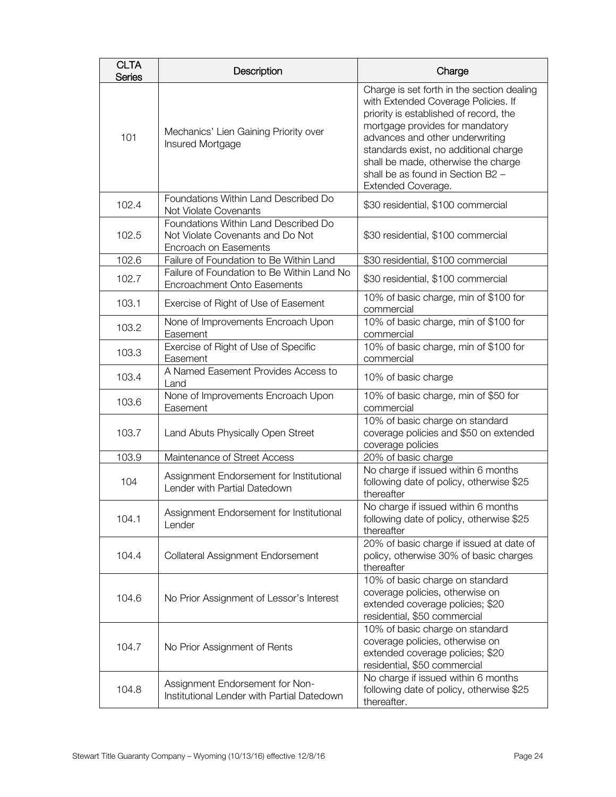| <b>CLTA</b><br><b>Series</b> | Description                                                                                       | Charge                                                                                                                                                                                                                                                                                                                                       |
|------------------------------|---------------------------------------------------------------------------------------------------|----------------------------------------------------------------------------------------------------------------------------------------------------------------------------------------------------------------------------------------------------------------------------------------------------------------------------------------------|
| 101                          | Mechanics' Lien Gaining Priority over<br>Insured Mortgage                                         | Charge is set forth in the section dealing<br>with Extended Coverage Policies. If<br>priority is established of record, the<br>mortgage provides for mandatory<br>advances and other underwriting<br>standards exist, no additional charge<br>shall be made, otherwise the charge<br>shall be as found in Section B2 -<br>Extended Coverage. |
| 102.4                        | Foundations Within Land Described Do<br>Not Violate Covenants                                     | \$30 residential, \$100 commercial                                                                                                                                                                                                                                                                                                           |
| 102.5                        | Foundations Within Land Described Do<br>Not Violate Covenants and Do Not<br>Encroach on Easements | \$30 residential, \$100 commercial                                                                                                                                                                                                                                                                                                           |
| 102.6                        | Failure of Foundation to Be Within Land                                                           | \$30 residential, \$100 commercial                                                                                                                                                                                                                                                                                                           |
| 102.7                        | Failure of Foundation to Be Within Land No<br>Encroachment Onto Easements                         | \$30 residential, \$100 commercial                                                                                                                                                                                                                                                                                                           |
| 103.1                        | Exercise of Right of Use of Easement                                                              | 10% of basic charge, min of \$100 for<br>commercial                                                                                                                                                                                                                                                                                          |
| 103.2                        | None of Improvements Encroach Upon<br>Easement                                                    | 10% of basic charge, min of \$100 for<br>commercial                                                                                                                                                                                                                                                                                          |
| 103.3                        | Exercise of Right of Use of Specific<br>Easement                                                  | 10% of basic charge, min of \$100 for<br>commercial                                                                                                                                                                                                                                                                                          |
| 103.4                        | A Named Easement Provides Access to<br>Land                                                       | 10% of basic charge                                                                                                                                                                                                                                                                                                                          |
| 103.6                        | None of Improvements Encroach Upon<br>Easement                                                    | 10% of basic charge, min of \$50 for<br>commercial                                                                                                                                                                                                                                                                                           |
| 103.7                        | Land Abuts Physically Open Street                                                                 | 10% of basic charge on standard<br>coverage policies and \$50 on extended<br>coverage policies                                                                                                                                                                                                                                               |
| 103.9                        | Maintenance of Street Access                                                                      | 20% of basic charge                                                                                                                                                                                                                                                                                                                          |
| 104                          | Assignment Endorsement for Institutional<br>Lender with Partial Datedown                          | No charge if issued within 6 months<br>following date of policy, otherwise \$25<br>thereafter                                                                                                                                                                                                                                                |
| 104.1                        | Assignment Endorsement for Institutional<br>Lender                                                | No charge if issued within 6 months<br>following date of policy, otherwise \$25<br>thereafter                                                                                                                                                                                                                                                |
| 104.4                        | Collateral Assignment Endorsement                                                                 | 20% of basic charge if issued at date of<br>policy, otherwise 30% of basic charges<br>thereafter                                                                                                                                                                                                                                             |
| 104.6                        | No Prior Assignment of Lessor's Interest                                                          | 10% of basic charge on standard<br>coverage policies, otherwise on<br>extended coverage policies; \$20<br>residential, \$50 commercial                                                                                                                                                                                                       |
| 104.7                        | No Prior Assignment of Rents                                                                      | 10% of basic charge on standard<br>coverage policies, otherwise on<br>extended coverage policies; \$20<br>residential, \$50 commercial                                                                                                                                                                                                       |
| 104.8                        | Assignment Endorsement for Non-<br>Institutional Lender with Partial Datedown                     | No charge if issued within 6 months<br>following date of policy, otherwise \$25<br>thereafter.                                                                                                                                                                                                                                               |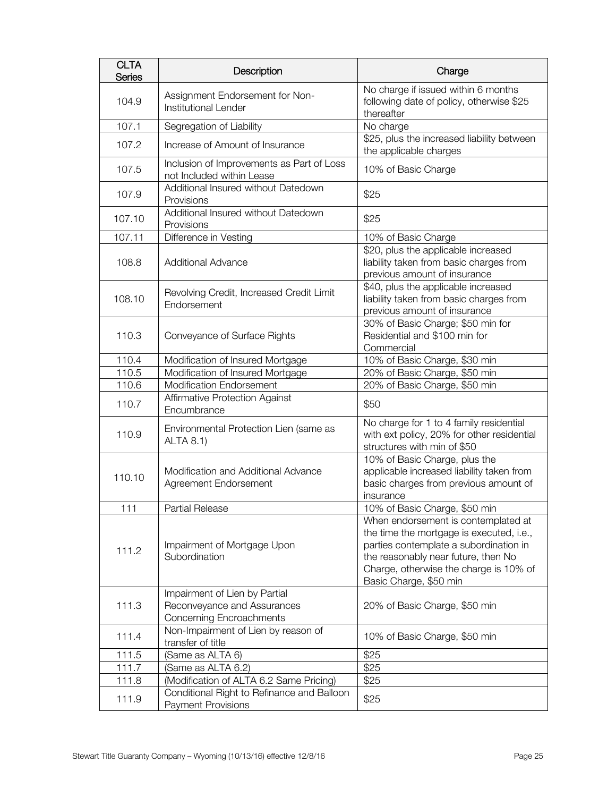| <b>CLTA</b><br><b>Series</b> | Description                                                                              | Charge                                                                                                                                                                                                                               |
|------------------------------|------------------------------------------------------------------------------------------|--------------------------------------------------------------------------------------------------------------------------------------------------------------------------------------------------------------------------------------|
| 104.9                        | Assignment Endorsement for Non-<br>Institutional Lender                                  | No charge if issued within 6 months<br>following date of policy, otherwise \$25<br>thereafter                                                                                                                                        |
| 107.1                        | Segregation of Liability                                                                 | No charge                                                                                                                                                                                                                            |
| 107.2                        | Increase of Amount of Insurance                                                          | \$25, plus the increased liability between<br>the applicable charges                                                                                                                                                                 |
| 107.5                        | Inclusion of Improvements as Part of Loss<br>not Included within Lease                   | 10% of Basic Charge                                                                                                                                                                                                                  |
| 107.9                        | Additional Insured without Datedown<br>Provisions                                        | \$25                                                                                                                                                                                                                                 |
| 107.10                       | Additional Insured without Datedown<br>Provisions                                        | \$25                                                                                                                                                                                                                                 |
| 107.11                       | Difference in Vesting                                                                    | 10% of Basic Charge                                                                                                                                                                                                                  |
| 108.8                        | <b>Additional Advance</b>                                                                | \$20, plus the applicable increased<br>liability taken from basic charges from<br>previous amount of insurance                                                                                                                       |
| 108.10                       | Revolving Credit, Increased Credit Limit<br>Endorsement                                  | \$40, plus the applicable increased<br>liability taken from basic charges from<br>previous amount of insurance                                                                                                                       |
| 110.3                        | Conveyance of Surface Rights                                                             | 30% of Basic Charge; \$50 min for<br>Residential and \$100 min for<br>Commercial                                                                                                                                                     |
| 110.4                        | Modification of Insured Mortgage                                                         | 10% of Basic Charge, \$30 min                                                                                                                                                                                                        |
| 110.5                        | Modification of Insured Mortgage                                                         | 20% of Basic Charge, \$50 min                                                                                                                                                                                                        |
| 110.6                        | Modification Endorsement                                                                 | 20% of Basic Charge, \$50 min                                                                                                                                                                                                        |
| 110.7                        | Affirmative Protection Against<br>Encumbrance                                            | \$50                                                                                                                                                                                                                                 |
| 110.9                        | Environmental Protection Lien (same as<br><b>ALTA 8.1)</b>                               | No charge for 1 to 4 family residential<br>with ext policy, 20% for other residential<br>structures with min of \$50                                                                                                                 |
| 110.10                       | Modification and Additional Advance<br>Agreement Endorsement                             | 10% of Basic Charge, plus the<br>applicable increased liability taken from<br>basic charges from previous amount of<br>insurance                                                                                                     |
| 111                          | Partial Release                                                                          | 10% of Basic Charge, \$50 min                                                                                                                                                                                                        |
| 111.2                        | Impairment of Mortgage Upon<br>Subordination                                             | When endorsement is contemplated at<br>the time the mortgage is executed, i.e.,<br>parties contemplate a subordination in<br>the reasonably near future, then No<br>Charge, otherwise the charge is 10% of<br>Basic Charge, \$50 min |
| 111.3                        | Impairment of Lien by Partial<br>Reconveyance and Assurances<br>Concerning Encroachments | 20% of Basic Charge, \$50 min                                                                                                                                                                                                        |
| 111.4                        | Non-Impairment of Lien by reason of<br>transfer of title                                 | 10% of Basic Charge, \$50 min                                                                                                                                                                                                        |
| 111.5                        | (Same as ALTA 6)                                                                         | \$25                                                                                                                                                                                                                                 |
| 111.7                        | (Same as ALTA 6.2)                                                                       | \$25                                                                                                                                                                                                                                 |
| 111.8                        | (Modification of ALTA 6.2 Same Pricing)                                                  | \$25                                                                                                                                                                                                                                 |
| 111.9                        | Conditional Right to Refinance and Balloon<br>Payment Provisions                         | \$25                                                                                                                                                                                                                                 |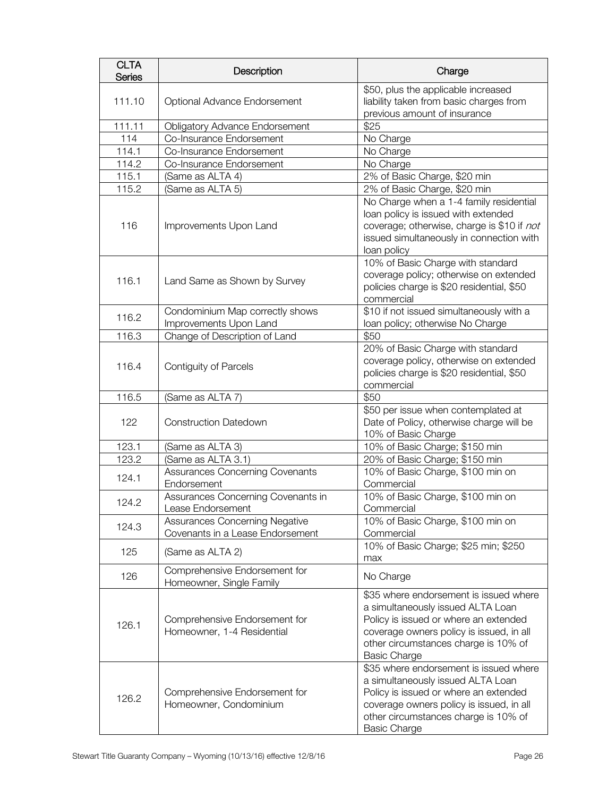| <b>CLTA</b><br><b>Series</b> | Description                                                        | Charge                                                                                                                                                                                                                          |
|------------------------------|--------------------------------------------------------------------|---------------------------------------------------------------------------------------------------------------------------------------------------------------------------------------------------------------------------------|
| 111.10                       | Optional Advance Endorsement                                       | \$50, plus the applicable increased<br>liability taken from basic charges from<br>previous amount of insurance                                                                                                                  |
| 111.11                       | <b>Obligatory Advance Endorsement</b>                              | \$25                                                                                                                                                                                                                            |
| 114                          | Co-Insurance Endorsement                                           | No Charge                                                                                                                                                                                                                       |
| 114.1                        | Co-Insurance Endorsement                                           | No Charge                                                                                                                                                                                                                       |
| 114.2                        | Co-Insurance Endorsement                                           | No Charge                                                                                                                                                                                                                       |
| 115.1                        | (Same as ALTA 4)                                                   | 2% of Basic Charge, \$20 min                                                                                                                                                                                                    |
| 115.2                        | (Same as ALTA 5)                                                   | 2% of Basic Charge, \$20 min                                                                                                                                                                                                    |
| 116                          | Improvements Upon Land                                             | No Charge when a 1-4 family residential<br>loan policy is issued with extended<br>coverage; otherwise, charge is \$10 if not<br>issued simultaneously in connection with<br>loan policy                                         |
| 116.1                        | Land Same as Shown by Survey                                       | 10% of Basic Charge with standard<br>coverage policy; otherwise on extended<br>policies charge is \$20 residential, \$50<br>commercial                                                                                          |
| 116.2                        | Condominium Map correctly shows<br>Improvements Upon Land          | \$10 if not issued simultaneously with a<br>loan policy; otherwise No Charge                                                                                                                                                    |
| 116.3                        | Change of Description of Land                                      | \$50                                                                                                                                                                                                                            |
| 116.4                        | <b>Contiguity of Parcels</b>                                       | 20% of Basic Charge with standard<br>coverage policy, otherwise on extended<br>policies charge is \$20 residential, \$50<br>commercial                                                                                          |
| 116.5                        | (Same as ALTA 7)                                                   | \$50                                                                                                                                                                                                                            |
| 122                          | <b>Construction Datedown</b>                                       | \$50 per issue when contemplated at<br>Date of Policy, otherwise charge will be<br>10% of Basic Charge                                                                                                                          |
| 123.1                        | (Same as ALTA 3)                                                   | 10% of Basic Charge; \$150 min                                                                                                                                                                                                  |
| 123.2                        | (Same as ALTA 3.1)                                                 | 20% of Basic Charge; \$150 min                                                                                                                                                                                                  |
| 124.1                        | Assurances Concerning Covenants<br>Endorsement                     | 10% of Basic Charge, \$100 min on<br>Commercial                                                                                                                                                                                 |
| 124.2                        | Assurances Concerning Covenants in<br>Lease Endorsement            | 10% of Basic Charge, \$100 min on<br>Commercial                                                                                                                                                                                 |
| 124.3                        | Assurances Concerning Negative<br>Covenants in a Lease Endorsement | 10% of Basic Charge, \$100 min on<br>Commercial                                                                                                                                                                                 |
| 125                          | (Same as ALTA 2)                                                   | 10% of Basic Charge; \$25 min; \$250<br>max                                                                                                                                                                                     |
| 126                          | Comprehensive Endorsement for<br>Homeowner, Single Family          | No Charge                                                                                                                                                                                                                       |
| 126.1                        | Comprehensive Endorsement for<br>Homeowner, 1-4 Residential        | \$35 where endorsement is issued where<br>a simultaneously issued ALTA Loan<br>Policy is issued or where an extended<br>coverage owners policy is issued, in all<br>other circumstances charge is 10% of<br><b>Basic Charge</b> |
| 126.2                        | Comprehensive Endorsement for<br>Homeowner, Condominium            | \$35 where endorsement is issued where<br>a simultaneously issued ALTA Loan<br>Policy is issued or where an extended<br>coverage owners policy is issued, in all<br>other circumstances charge is 10% of<br><b>Basic Charge</b> |